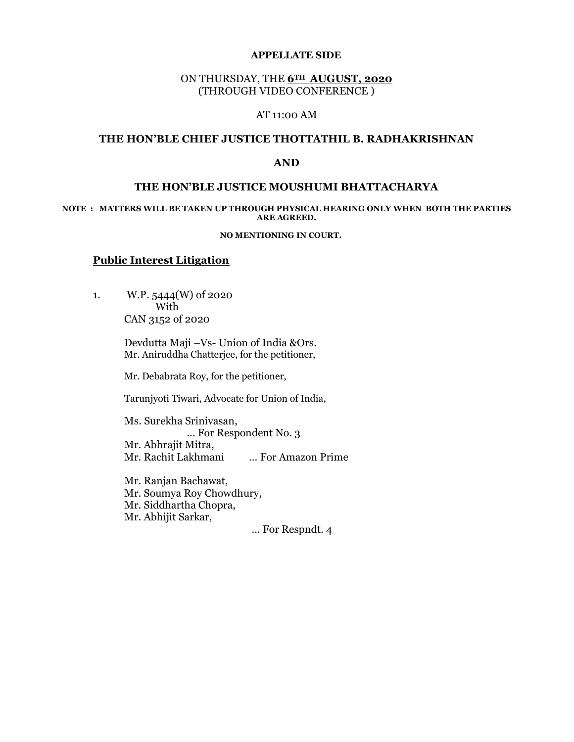#### APPELLATE SIDE

# ON THURSDAY, THE 6TH AUGUST, 2020 (THROUGH VIDEO CONFERENCE )

## AT 11:00 AM

## THE HON'BLE CHIEF JUSTICE THOTTATHIL B. RADHAKRISHNAN

#### AND

## THE HON'BLE JUSTICE MOUSHUMI BHATTACHARYA

#### NOTE : MATTERS WILL BE TAKEN UP THROUGH PHYSICAL HEARING ONLY WHEN BOTH THE PARTIES ARE AGREED.

#### NO MENTIONING IN COURT.

## Public Interest Litigation

 1. W.P. 5444(W) of 2020 With CAN 3152 of 2020

> Devdutta Maji –Vs- Union of India &Ors. Mr. Aniruddha Chatterjee, for the petitioner,

Mr. Debabrata Roy, for the petitioner,

Tarunjyoti Tiwari, Advocate for Union of India,

 Ms. Surekha Srinivasan, … For Respondent No. 3 Mr. Abhrajit Mitra, Mr. Rachit Lakhmani … For Amazon Prime

 Mr. Ranjan Bachawat, Mr. Soumya Roy Chowdhury, Mr. Siddhartha Chopra, Mr. Abhijit Sarkar,

… For Respndt. 4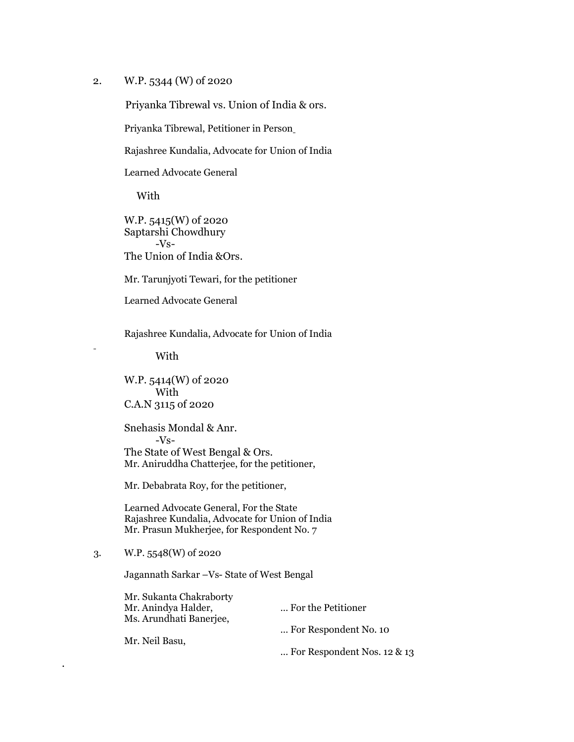2. W.P. 5344 (W) of 2020

Priyanka Tibrewal vs. Union of India & ors.

Priyanka Tibrewal, Petitioner in Person

Rajashree Kundalia, Advocate for Union of India

Learned Advocate General

With

 W.P. 5415(W) of 2020 Saptarshi Chowdhury -Vs- The Union of India &Ors.

Mr. Tarunjyoti Tewari, for the petitioner

Learned Advocate General

Rajashree Kundalia, Advocate for Union of India

With

 W.P. 5414(W) of 2020 With C.A.N 3115 of 2020

 Snehasis Mondal & Anr. -Vs- The State of West Bengal & Ors. Mr. Aniruddha Chatterjee, for the petitioner,

Mr. Debabrata Roy, for the petitioner,

 Learned Advocate General, For the State Rajashree Kundalia, Advocate for Union of India Mr. Prasun Mukherjee, for Respondent No. 7

# 3. W.P. 5548(W) of 2020

.

Jagannath Sarkar –Vs- State of West Bengal

| Mr. Sukanta Chakraborty |                                |
|-------------------------|--------------------------------|
| Mr. Anindya Halder,     | For the Petitioner             |
| Ms. Arundhati Banerjee, |                                |
|                         | For Respondent No. 10          |
| Mr. Neil Basu,          |                                |
|                         | For Respondent Nos. 12 $\&$ 13 |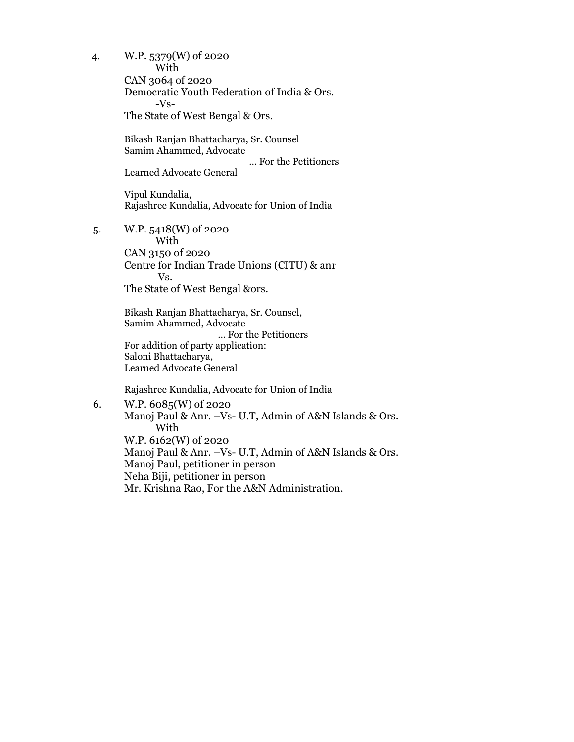4. W.P. 5379(W) of 2020 With CAN 3064 of 2020 Democratic Youth Federation of India & Ors. -Vs- The State of West Bengal & Ors. Bikash Ranjan Bhattacharya, Sr. Counsel Samim Ahammed, Advocate … For the Petitioners Learned Advocate General Vipul Kundalia, Rajashree Kundalia, Advocate for Union of India 5. W.P. 5418(W) of 2020 With CAN 3150 of 2020 Centre for Indian Trade Unions (CITU) & anr Vs. The State of West Bengal &ors. Bikash Ranjan Bhattacharya, Sr. Counsel, Samim Ahammed, Advocate … For the Petitioners For addition of party application: Saloni Bhattacharya, Learned Advocate General Rajashree Kundalia, Advocate for Union of India 6. W.P. 6085(W) of 2020 Manoj Paul & Anr. –Vs- U.T, Admin of A&N Islands & Ors.

 With W.P. 6162(W) of 2020 Manoj Paul & Anr. –Vs- U.T, Admin of A&N Islands & Ors. Manoj Paul, petitioner in person Neha Biji, petitioner in person Mr. Krishna Rao, For the A&N Administration.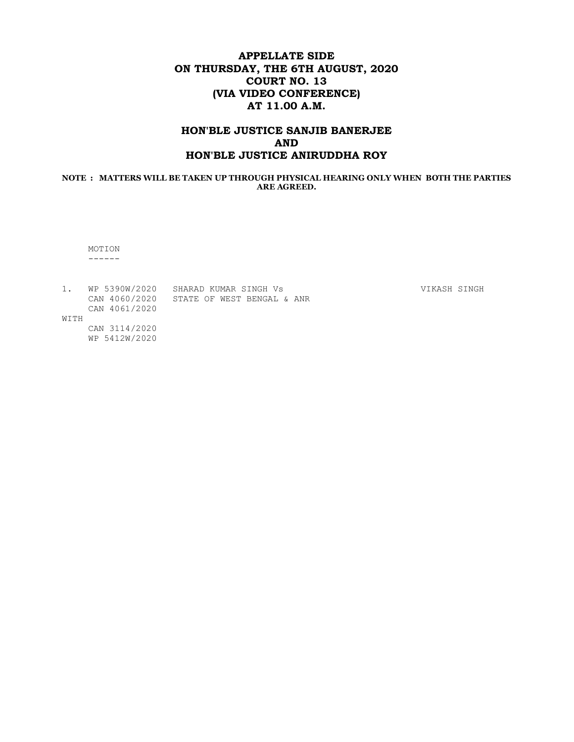# APPELLATE SIDE ON THURSDAY, THE 6TH AUGUST, 2020 COURT NO. 13 (VIA VIDEO CONFERENCE) AT 11.00 A.M.

# HON'BLE JUSTICE SANJIB BANERJEE AND HON'BLE JUSTICE ANIRUDDHA ROY

#### NOTE : MATTERS WILL BE TAKEN UP THROUGH PHYSICAL HEARING ONLY WHEN BOTH THE PARTIES ARE AGREED.

 MOTION ------

| WP 5390W/2020 | SHARAD KUMAR SINGH Vs      |  |  |
|---------------|----------------------------|--|--|
| CAN 4060/2020 | STATE OF WEST BENGAL & ANR |  |  |
| CAN 4061/2020 |                            |  |  |

WITH

 CAN 3114/2020 WP 5412W/2020 VIKASH SINGH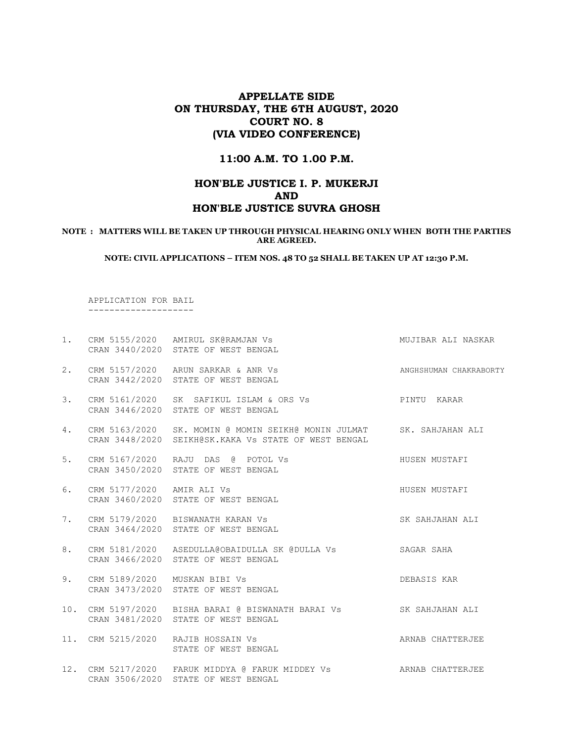# APPELLATE SIDE ON THURSDAY, THE 6TH AUGUST, 2020 COURT NO. 8 (VIA VIDEO CONFERENCE)

#### 11:00 A.M. TO 1.00 P.M.

# HON'BLE JUSTICE I. P. MUKERJI AND HON'BLE JUSTICE SUVRA GHOSH

#### NOTE : MATTERS WILL BE TAKEN UP THROUGH PHYSICAL HEARING ONLY WHEN BOTH THE PARTIES ARE AGREED.

NOTE: CIVIL APPLICATIONS – ITEM NOS. 48 TO 52 SHALL BE TAKEN UP AT 12:30 P.M.

 APPLICATION FOR BAIL --------------------

| $1$ . |                           | CRM 5155/2020 AMIRUL SK@RAMJAN Vs<br>CRAN 3440/2020 STATE OF WEST BENGAL                                                     | MUJIBAR ALI NASKAR     |
|-------|---------------------------|------------------------------------------------------------------------------------------------------------------------------|------------------------|
| 2.    |                           | CRM 5157/2020 ARUN SARKAR & ANR Vs<br>CRAN 3442/2020 STATE OF WEST BENGAL                                                    | ANGHSHUMAN CHAKRABORTY |
| 3.    |                           | CRM 5161/2020 SK SAFIKUL ISLAM & ORS Vs PINTU KARAR<br>CRAN 3446/2020 STATE OF WEST BENGAL                                   |                        |
| 4.    |                           | CRM 5163/2020 SK. MOMIN @ MOMIN SEIKH@ MONIN JULMAT SK. SAHJAHAN ALI<br>CRAN 3448/2020 SEIKH@SK.KAKA Vs STATE OF WEST BENGAL |                        |
| 5.    |                           | CRM 5167/2020 RAJU DAS @ POTOL Vs<br>CRAN 3450/2020 STATE OF WEST BENGAL                                                     | HUSEN MUSTAFI          |
| 6.    | CRM 5177/2020 AMIR ALI Vs | HUSEN MUSTAFI<br>CRAN 3460/2020 STATE OF WEST BENGAL                                                                         |                        |
| 7.    |                           | SK SAHJAHAN ALI<br>CRM 5179/2020 BISWANATH KARAN Vs<br>CRAN 3464/2020 STATE OF WEST BENGAL                                   |                        |
| 8.    |                           | CRM 5181/2020 ASEDULLA@OBAIDULLA SK @DULLA Vs SAGAR SAHA<br>CRAN 3466/2020 STATE OF WEST BENGAL                              |                        |
| 9.    |                           | CRM 5189/2020 MUSKAN BIBI Vs<br>CRAN 3473/2020 STATE OF WEST BENGAL                                                          | DEBASIS KAR            |
|       |                           | 10. CRM 5197/2020 BISHA BARAI @ BISWANATH BARAI Vs SK SAHJAHAN ALI<br>CRAN 3481/2020 STATE OF WEST BENGAL                    |                        |
|       |                           | ARNAB CHATTERJEE<br>11. CRM 5215/2020 RAJIB HOSSAIN Vs<br>STATE OF WEST BENGAL                                               |                        |
|       |                           | 12. CRM 5217/2020 FARUK MIDDYA @ FARUK MIDDEY Vs ARNAB CHATTERJEE<br>CRAN 3506/2020 STATE OF WEST BENGAL                     |                        |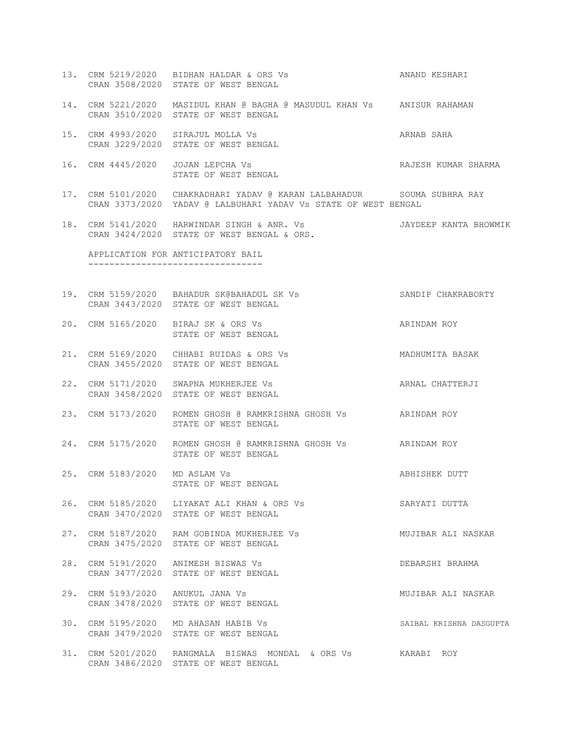- 13. CRM 5219/2020 BIDHAN HALDAR & ORS Vs ANAND KESHARI CRAN 3508/2020 STATE OF WEST BENGAL
- 14. CRM 5221/2020 MASIDUL KHAN @ BAGHA @ MASUDUL KHAN Vs ANISUR RAHAMAN CRAN 3510/2020 STATE OF WEST BENGAL
- 15. CRM 4993/2020 SIRAJUL MOLLA Vs ARNAB SAHA CRAN 3229/2020 STATE OF WEST BENGAL
- 16. CRM 4445/2020 JOJAN LEPCHA Vs **RAJESH KUMAR SHARMA** STATE OF WEST BENGAL
- 17. CRM 5101/2020 CHAKRADHARI YADAV @ KARAN LALBAHADUR SOUMA SUBHRA RAY CRAN 3373/2020 YADAV @ LALBUHARI YADAV Vs STATE OF WEST BENGAL
- 18. CRM 5141/2020 HARWINDAR SINGH & ANR. Vs JAYDEEP KANTA BHOWMIK CRAN 3424/2020 STATE OF WEST BENGAL & ORS.

 APPLICATION FOR ANTICIPATORY BAIL ---------------------------------

- 19. CRM 5159/2020 BAHADUR SK@BAHADUL SK Vs SANDIP CHAKRABORTY CRAN 3443/2020 STATE OF WEST BENGAL
- 20. CRM 5165/2020 BIRAJ SK & ORS Vs ARINDAM ROY STATE OF WEST BENGAL
- 21. CRM 5169/2020 CHHABI RUIDAS & ORS Vs MADHUMITA BASAK CRAN 3455/2020 STATE OF WEST BENGAL
- 22. CRM 5171/2020 SWAPNA MUKHERJEE Vs ARNAL CHATTERJI CRAN 3458/2020 STATE OF WEST BENGAL
- 23. CRM 5173/2020 ROMEN GHOSH @ RAMKRISHNA GHOSH Vs ARINDAM ROY STATE OF WEST BENGAL
- 24. CRM 5175/2020 ROMEN GHOSH @ RAMKRISHNA GHOSH Vs ARINDAM ROY STATE OF WEST BENGAL
- 25. CRM 5183/2020 MD ASLAM Vs ABHISHEK DUTT STATE OF WEST BENGAL
- 26. CRM 5185/2020 LIYAKAT ALI KHAN & ORS Vs SARYATI DUTTA CRAN 3470/2020 STATE OF WEST BENGAL
- 27. CRM 5187/2020 RAM GOBINDA MUKHERJEE Vs MUJIBAR ALI NASKAR CRAN 3475/2020 STATE OF WEST BENGAL
- 28. CRM 5191/2020 ANIMESH BISWAS Vs DEBARSHI BRAHMA CRAN 3477/2020 STATE OF WEST BENGAL
- 29. CRM 5193/2020 ANUKUL JANA Vs MUJIBAR ALI NASKAR CRAN 3478/2020 STATE OF WEST BENGAL
- 30. CRM 5195/2020 MD AHASAN HABIB Vs SAIBAL KRISHNA DASGUPTA CRAN 3479/2020 STATE OF WEST BENGAL
- 31. CRM 5201/2020 RANGMALA BISWAS MONDAL & ORS Vs KARABI ROY CRAN 3486/2020 STATE OF WEST BENGAL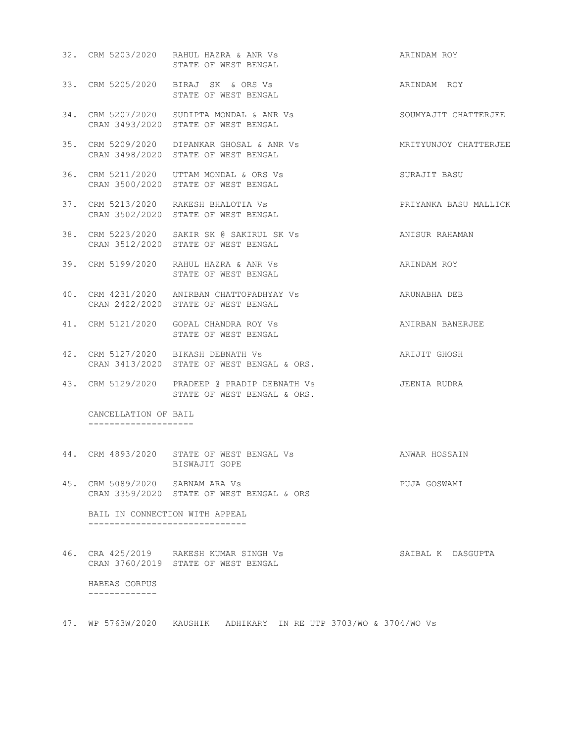|                                              | 32. CRM 5203/2020 RAHUL HAZRA & ANR Vs<br>STATE OF WEST BENGAL                    | ARINDAM ROY           |
|----------------------------------------------|-----------------------------------------------------------------------------------|-----------------------|
|                                              | 33. CRM 5205/2020 BIRAJ SK & ORS Vs<br>STATE OF WEST BENGAL                       | ARINDAM ROY           |
|                                              | 34. CRM 5207/2020 SUDIPTA MONDAL & ANR Vs<br>CRAN 3493/2020 STATE OF WEST BENGAL  | SOUMYAJIT CHATTERJEE  |
|                                              | 35. CRM 5209/2020 DIPANKAR GHOSAL & ANR Vs<br>CRAN 3498/2020 STATE OF WEST BENGAL | MRITYUNJOY CHATTERJEE |
|                                              | 36. CRM 5211/2020 UTTAM MONDAL & ORS Vs<br>CRAN 3500/2020 STATE OF WEST BENGAL    | SURAJIT BASU          |
|                                              | 37. CRM 5213/2020 RAKESH BHALOTIA Vs<br>CRAN 3502/2020 STATE OF WEST BENGAL       | PRIYANKA BASU MALLICK |
|                                              | 38. CRM 5223/2020 SAKIR SK @ SAKIRUL SK Vs<br>CRAN 3512/2020 STATE OF WEST BENGAL | ANISUR RAHAMAN        |
|                                              | 39. CRM 5199/2020 RAHUL HAZRA & ANR Vs<br>STATE OF WEST BENGAL                    | ARINDAM ROY           |
|                                              | 40. CRM 4231/2020 ANIRBAN CHATTOPADHYAY Vs<br>CRAN 2422/2020 STATE OF WEST BENGAL | ARUNABHA DEB          |
|                                              | 41. CRM 5121/2020 GOPAL CHANDRA ROY Vs<br>STATE OF WEST BENGAL                    | ANIRBAN BANERJEE      |
|                                              | 42. CRM 5127/2020 BIKASH DEBNATH Vs<br>CRAN 3413/2020 STATE OF WEST BENGAL & ORS. | ARIJIT GHOSH          |
|                                              | 43. CRM 5129/2020 PRADEEP @ PRADIP DEBNATH Vs<br>STATE OF WEST BENGAL & ORS.      | JEENIA RUDRA          |
| CANCELLATION OF BAIL<br>-------------------- |                                                                                   |                       |
|                                              | 44. CRM 4893/2020 STATE OF WEST BENGAL Vs<br>BISWAJIT GOPE                        | ANWAR HOSSAIN         |
| 45. CRM 5089/2020 SABNAM ARA Vs              | CRAN 3359/2020 STATE OF WEST BENGAL & ORS                                         | PUJA GOSWAMI          |

 BAIL IN CONNECTION WITH APPEAL ------------------------------

46. CRA 425/2019 RAKESH KUMAR SINGH Vs SAIBAL K DASGUPTA CRAN 3760/2019 STATE OF WEST BENGAL HABEAS CORPUS -------------

47. WP 5763W/2020 KAUSHIK ADHIKARY IN RE UTP 3703/WO & 3704/WO Vs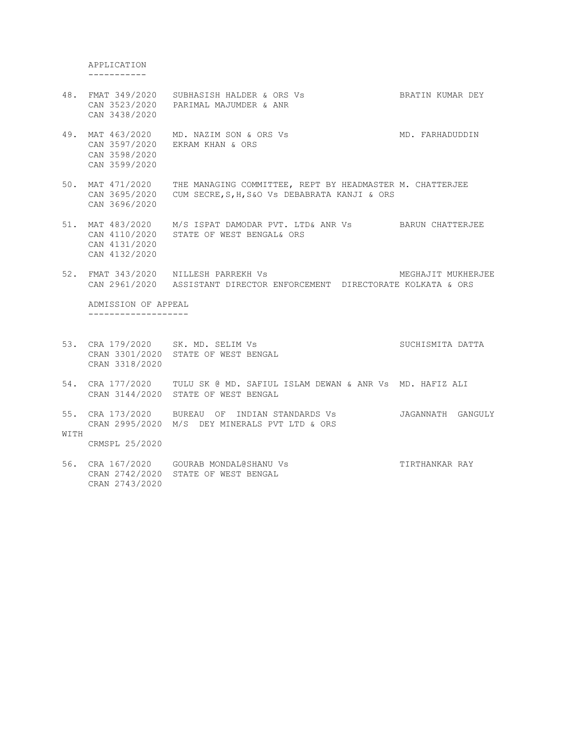APPLICATION -----------

 CAN 3598/2020 CAN 3599/2020

- 48. FMAT 349/2020 SUBHASISH HALDER & ORS Vs BRATIN KUMAR DEY CAN 3523/2020 PARIMAL MAJUMDER & ANR CAN 3438/2020 49. MAT 463/2020 MD. NAZIM SON & ORS Vs MD. FARHADUDDIN CAN 3597/2020 EKRAM KHAN & ORS
- 50. MAT 471/2020 THE MANAGING COMMITTEE, REPT BY HEADMASTER M. CHATTERJEE CAN 3695/2020 CUM SECRE,S,H,S&O Vs DEBABRATA KANJI & ORS CAN 3696/2020
- 51. MAT 483/2020 M/S ISPAT DAMODAR PVT. LTD& ANR Vs BARUN CHATTERJEE CAN 4110/2020 STATE OF WEST BENGAL& ORS CAN 4131/2020 CAN 4132/2020
- 52. FMAT 343/2020 NILLESH PARREKH Vs MEGHAJIT MUKHERJEE CAN 2961/2020 ASSISTANT DIRECTOR ENFORCEMENT DIRECTORATE KOLKATA & ORS

 ADMISSION OF APPEAL -------------------

- 53. CRA 179/2020 SK. MD. SELIM Vs SUCHISMITA DATTA CRAN 3301/2020 STATE OF WEST BENGAL CRAN 3318/2020
- 54. CRA 177/2020 TULU SK @ MD. SAFIUL ISLAM DEWAN & ANR Vs MD. HAFIZ ALI CRAN 3144/2020 STATE OF WEST BENGAL
- 55. CRA 173/2020 BUREAU OF INDIAN STANDARDS Vs JAGANNATH GANGULY CRAN 2995/2020 M/S DEY MINERALS PVT LTD & ORS WITH

CRMSPL 25/2020

56. CRA 167/2020 GOURAB MONDAL@SHANU Vs TIRTHANKAR RAY CRAN 2742/2020 STATE OF WEST BENGAL CRAN 2743/2020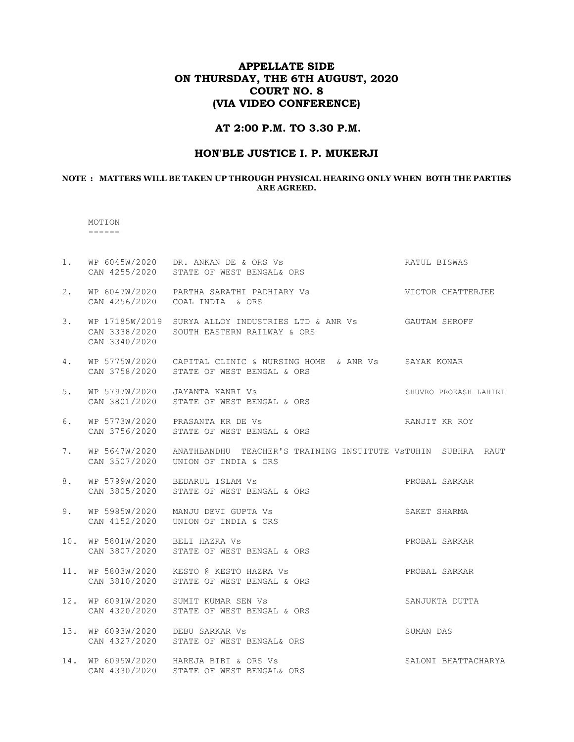# APPELLATE SIDE ON THURSDAY, THE 6TH AUGUST, 2020 COURT NO. 8 (VIA VIDEO CONFERENCE)

## AT 2:00 P.M. TO 3.30 P.M.

### HON'BLE JUSTICE I. P. MUKERJI

#### NOTE : MATTERS WILL BE TAKEN UP THROUGH PHYSICAL HEARING ONLY WHEN BOTH THE PARTIES ARE AGREED.

# MOTION

------

| $1$ . |                                | WP 6045W/2020 DR. ANKAN DE & ORS Vs<br>CAN 4255/2020 STATE OF WEST BENGAL& ORS                                | RATUL BISWAS          |
|-------|--------------------------------|---------------------------------------------------------------------------------------------------------------|-----------------------|
| 2.    | CAN 4256/2020                  | WP 6047W/2020 PARTHA SARATHI PADHIARY Vs<br>COAL INDIA & ORS                                                  | VICTOR CHATTERJEE     |
| 3.    | CAN 3340/2020                  | WP 17185W/2019 SURYA ALLOY INDUSTRIES LTD & ANR Vs GAUTAM SHROFF<br>CAN 3338/2020 SOUTH EASTERN RAILWAY & ORS |                       |
| 4.    |                                | WP 5775W/2020 CAPITAL CLINIC & NURSING HOME & ANR Vs SAYAK KONAR<br>CAN 3758/2020 STATE OF WEST BENGAL & ORS  |                       |
| 5.    | WP 5797W/2020<br>CAN 3801/2020 | JAYANTA KANRI Vs<br>STATE OF WEST BENGAL & ORS                                                                | SHUVRO PROKASH LAHIRI |
| 6.    | CAN 3756/2020                  | WP 5773W/2020 PRASANTA KR DE Vs<br>STATE OF WEST BENGAL & ORS                                                 | RANJIT KR ROY         |
| 7.    | CAN 3507/2020                  | WP 5647W/2020 ANATHBANDHU TEACHER'S TRAINING INSTITUTE VSTUHIN SUBHRA RAUT<br>UNION OF INDIA & ORS            |                       |
| 8.    |                                | WP 5799W/2020 BEDARUL ISLAM Vs<br>CAN 3805/2020 STATE OF WEST BENGAL & ORS                                    | PROBAL SARKAR         |
| 9.    | CAN 4152/2020                  | WP 5985W/2020 MANJU DEVI GUPTA Vs<br>UNION OF INDIA & ORS                                                     | SAKET SHARMA          |
| 10.   | WP 5801W/2020 BELI HAZRA Vs    | CAN 3807/2020 STATE OF WEST BENGAL & ORS                                                                      | PROBAL SARKAR         |
| 11.   |                                | WP 5803W/2020 KESTO @ KESTO HAZRA Vs<br>CAN 3810/2020 STATE OF WEST BENGAL & ORS                              | PROBAL SARKAR         |
| 12.   |                                | WP 6091W/2020 SUMIT KUMAR SEN Vs<br>CAN 4320/2020 STATE OF WEST BENGAL & ORS                                  | SANJUKTA DUTTA        |
| 13.   | WP 6093W/2020 DEBU SARKAR Vs   | CAN 4327/2020 STATE OF WEST BENGAL& ORS                                                                       | SUMAN DAS             |
| 14.   |                                | WP 6095W/2020 HAREJA BIBI & ORS Vs<br>CAN 4330/2020 STATE OF WEST BENGAL& ORS                                 | SALONI BHATTACHARYA   |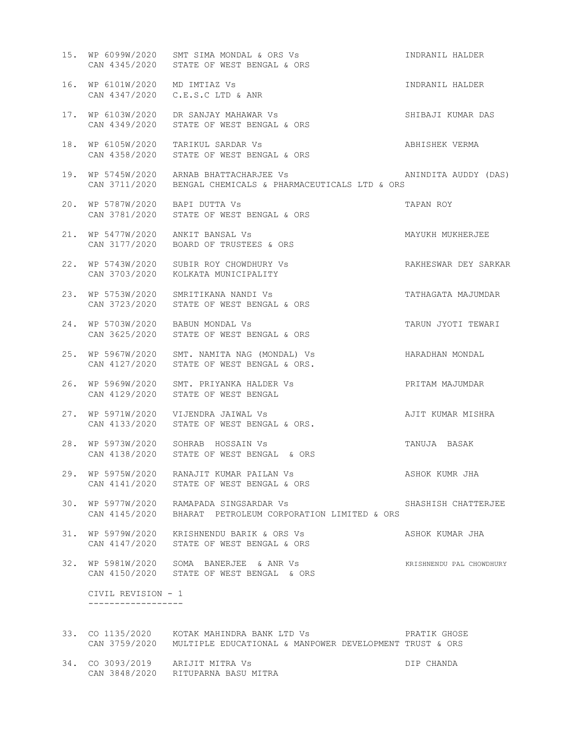|     |                                   | 15. WP 6099W/2020 SMT SIMA MONDAL & ORS Vs<br>CAN 4345/2020 STATE OF WEST BENGAL & ORS                 | INDRANIL HALDER          |
|-----|-----------------------------------|--------------------------------------------------------------------------------------------------------|--------------------------|
|     | 16. WP 6101W/2020 MD IMTIAZ Vs    | CAN 4347/2020 C.E.S.C LTD & ANR                                                                        | INDRANIL HALDER          |
|     | CAN 4349/2020                     | 17. WP 6103W/2020 DR SANJAY MAHAWAR VS<br>STATE OF WEST BENGAL & ORS                                   | SHIBAJI KUMAR DAS        |
|     |                                   | 18. WP 6105W/2020 TARIKUL SARDAR Vs<br>CAN 4358/2020 STATE OF WEST BENGAL & ORS                        | ABHISHEK VERMA           |
|     |                                   | 19. WP 5745W/2020 ARNAB BHATTACHARJEE Vs<br>CAN 3711/2020 BENGAL CHEMICALS & PHARMACEUTICALS LTD & ORS | ANINDITA AUDDY (DAS)     |
| 20. | WP 5787W/2020 BAPI DUTTA Vs       | CAN 3781/2020 STATE OF WEST BENGAL & ORS                                                               | TAPAN ROY                |
|     | 21. WP 5477W/2020 ANKIT BANSAL Vs | CAN 3177/2020 BOARD OF TRUSTEES & ORS                                                                  | MAYUKH MUKHERJEE         |
|     |                                   | 22. WP 5743W/2020 SUBIR ROY CHOWDHURY Vs<br>CAN 3703/2020 KOLKATA MUNICIPALITY                         | RAKHESWAR DEY SARKAR     |
| 23. |                                   | WP 5753W/2020 SMRITIKANA NANDI Vs<br>CAN 3723/2020 STATE OF WEST BENGAL & ORS                          | TATHAGATA MAJUMDAR       |
| 24. | WP 5703W/2020 BABUN MONDAL Vs     | CAN 3625/2020 STATE OF WEST BENGAL & ORS                                                               | TARUN JYOTI TEWARI       |
| 25. |                                   | WP 5967W/2020 SMT. NAMITA NAG (MONDAL) Vs<br>CAN 4127/2020 STATE OF WEST BENGAL & ORS.                 | HARADHAN MONDAL          |
| 26. |                                   | WP 5969W/2020 SMT. PRIYANKA HALDER Vs<br>CAN 4129/2020 STATE OF WEST BENGAL                            | PRITAM MAJUMDAR          |
| 27. |                                   | WP 5971W/2020 VIJENDRA JAIWAL Vs<br>CAN 4133/2020 STATE OF WEST BENGAL & ORS.                          | AJIT KUMAR MISHRA        |
|     |                                   | 28. WP 5973W/2020 SOHRAB HOSSAIN Vs<br>CAN 4138/2020 STATE OF WEST BENGAL & ORS                        | TANUJA BASAK             |
|     |                                   | 29. WP 5975W/2020 RANAJIT KUMAR PAILAN Vs<br>CAN 4141/2020 STATE OF WEST BENGAL & ORS                  | ASHOK KUMR JHA           |
|     | CAN 4145/2020                     | 30. WP 5977W/2020 RAMAPADA SINGSARDAR Vs<br>BHARAT PETROLEUM CORPORATION LIMITED & ORS                 | SHASHISH CHATTERJEE      |
| 31. |                                   | WP 5979W/2020 KRISHNENDU BARIK & ORS Vs<br>CAN 4147/2020 STATE OF WEST BENGAL & ORS                    | ASHOK KUMAR JHA          |
|     |                                   | 32. WP 5981W/2020 SOMA BANERJEE & ANR Vs<br>CAN 4150/2020 STATE OF WEST BENGAL & ORS                   | KRISHNENDU PAL CHOWDHURY |
|     | CIVIL REVISION - 1                |                                                                                                        |                          |
|     |                                   | CAN 3759/2020 MULTIPLE EDUCATIONAL & MANPOWER DEVELOPMENT TRUST & ORS                                  |                          |

34. CO 3093/2019 ARIJIT MITRA Vs DIP CHANDA CAN 3848/2020 RITUPARNA BASU MITRA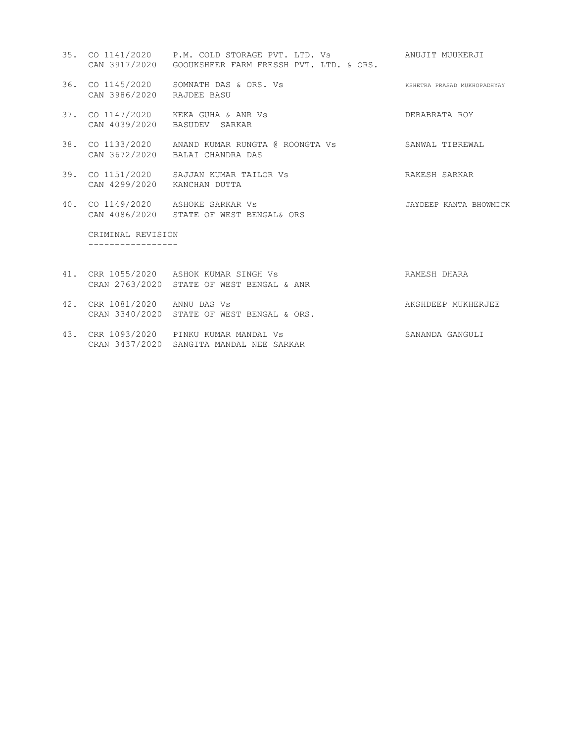- 35. CO 1141/2020 P.M. COLD STORAGE PVT. LTD. Vs ANUJIT MUUKERJI CAN 3917/2020 GOOUKSHEER FARM FRESSH PVT. LTD. & ORS. 36. CO 1145/2020 SOMNATH DAS & ORS. Vs KSHETRA PRASAD MUKHOPADHYAY CAN 3986/2020 RAJDEE BASU 37. CO 1147/2020 KEKA GUHA & ANR Vs DEBABRATA ROY CAN 4039/2020 BASUDEV SARKAR 38. CO 1133/2020 ANAND KUMAR RUNGTA @ ROONGTA Vs SANWAL TIBREWAL CAN 3672/2020 BALAI CHANDRA DAS 39. CO 1151/2020 SAJJAN KUMAR TAILOR Vs RAKESH SARKAR CAN 4299/2020 KANCHAN DUTTA 40. CO 1149/2020 ASHOKE SARKAR Vs JAYDEEP KANTA BHOWMICK CAN 4086/2020 STATE OF WEST BENGAL& ORS CRIMINAL REVISION ----------------- 41. CRR 1055/2020 ASHOK KUMAR SINGH Vs RAMESH DHARA CRAN 2763/2020 STATE OF WEST BENGAL & ANR 42. CRR 1081/2020 ANNU DAS Vs AKSHDEEP MUKHERJEE
- 43. CRR 1093/2020 PINKU KUMAR MANDAL Vs SANANDA GANGULI CRAN 3437/2020 SANGITA MANDAL NEE SARKAR

CRAN 3340/2020 STATE OF WEST BENGAL & ORS.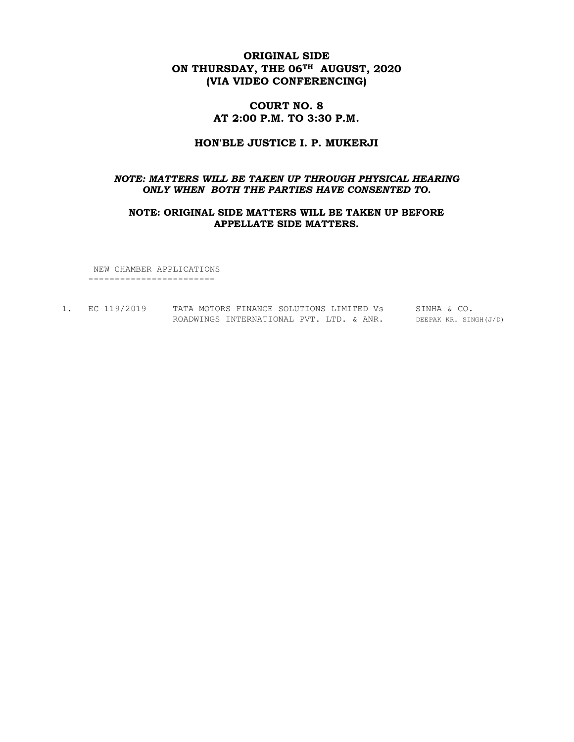## ORIGINAL SIDE ON THURSDAY, THE 06<sup>TH</sup> AUGUST, 2020 (VIA VIDEO CONFERENCING)

## COURT NO. 8 AT 2:00 P.M. TO 3:30 P.M.

#### HON'BLE JUSTICE I. P. MUKERJI

#### NOTE: MATTERS WILL BE TAKEN UP THROUGH PHYSICAL HEARING ONLY WHEN BOTH THE PARTIES HAVE CONSENTED TO.

#### NOTE: ORIGINAL SIDE MATTERS WILL BE TAKEN UP BEFORE APPELLATE SIDE MATTERS.

 NEW CHAMBER APPLICATIONS ------------------------

1. EC 119/2019 TATA MOTORS FINANCE SOLUTIONS LIMITED Vs SINHA & CO. ROADWINGS INTERNATIONAL PVT. LTD. & ANR. DEEPAK KR. SINGH(J/D)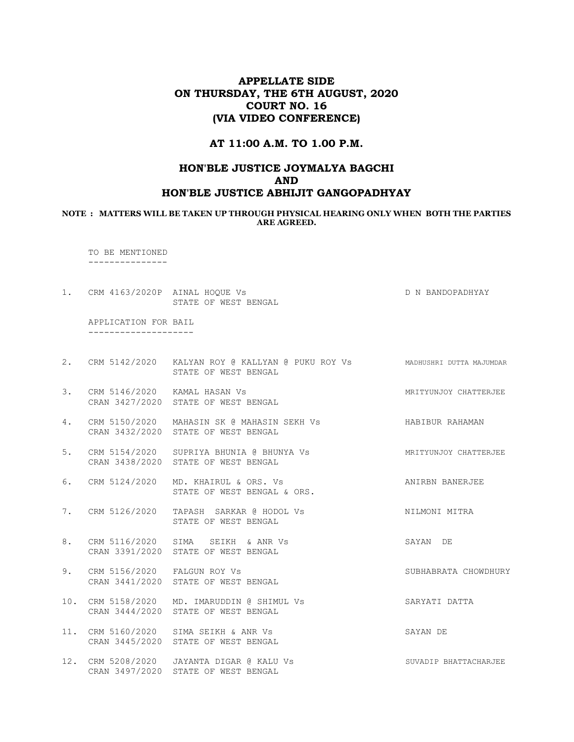## APPELLATE SIDE ON THURSDAY, THE 6TH AUGUST, 2020 COURT NO. 16 (VIA VIDEO CONFERENCE)

#### AT 11:00 A.M. TO 1.00 P.M.

# HON'BLE JUSTICE JOYMALYA BAGCHI AND HON'BLE JUSTICE ABHIJIT GANGOPADHYAY

#### NOTE : MATTERS WILL BE TAKEN UP THROUGH PHYSICAL HEARING ONLY WHEN BOTH THE PARTIES ARE AGREED.

 TO BE MENTIONED ---------------

1. CRM 4163/2020P AINAL HOQUE Vs D N BANDOPADHYAY STATE OF WEST BENGAL

 APPLICATION FOR BAIL --------------------

- 2. CRM 5142/2020 KALYAN ROY @ KALLYAN @ PUKU ROY Vs MADHUSHRI DUTTA MAJUMDAR STATE OF WEST BENGAL
- 3. CRM 5146/2020 KAMAL HASAN Vs **MRITYUNG ASSAM** MATTERJEE CRAN 3427/2020 STATE OF WEST BENGAL
- 4. CRM 5150/2020 MAHASIN SK @ MAHASIN SEKH Vs HABIBUR RAHAMAN CRAN 3432/2020 STATE OF WEST BENGAL
- 5. CRM 5154/2020 SUPRIYA BHUNIA @ BHUNYA Vs MRITYUNJOY CHATTERJEE CRAN 3438/2020 STATE OF WEST BENGAL
- 6. CRM 5124/2020 MD. KHAIRUL & ORS. Vs ANIRBN BANERJEE STATE OF WEST BENGAL & ORS.
- 7. CRM 5126/2020 TAPASH SARKAR @ HODOL Vs NILMONI MITRA STATE OF WEST BENGAL
- 8. CRM 5116/2020 SIMA SEIKH & ANR Vs SAYAN DE CRAN 3391/2020 STATE OF WEST BENGAL
- 9. CRM 5156/2020 FALGUN ROY Vs SUBHABRATA CHOWDHURY CRAN 3441/2020 STATE OF WEST BENGAL
- 10. CRM 5158/2020 MD. IMARUDDIN @ SHIMUL Vs SARYATI DATTA CRAN 3444/2020 STATE OF WEST BENGAL
- 11. CRM 5160/2020 SIMA SEIKH & ANR Vs SAYAN DE CRAN 3445/2020 STATE OF WEST BENGAL
- 12. CRM 5208/2020 JAYANTA DIGAR @ KALU Vs SUVADIP BHATTACHARJEE CRAN 3497/2020 STATE OF WEST BENGAL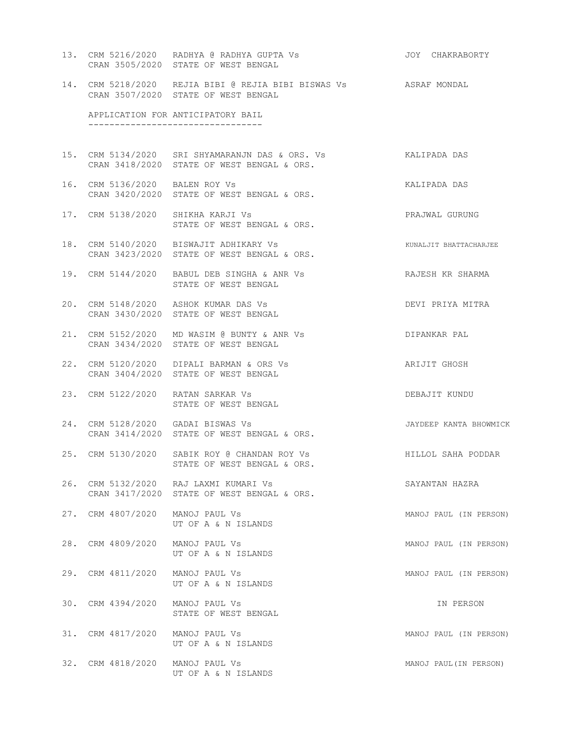13. CRM 5216/2020 RADHYA @ RADHYA GUPTA Vs JOY CHAKRABORTY CRAN 3505/2020 STATE OF WEST BENGAL 14. CRM 5218/2020 REJIA BIBI @ REJIA BIBI BISWAS Vs ASRAF MONDAL CRAN 3507/2020 STATE OF WEST BENGAL APPLICATION FOR ANTICIPATORY BAIL --------------------------------- 15. CRM 5134/2020 SRI SHYAMARANJN DAS & ORS. Vs KALIPADA DAS CRAN 3418/2020 STATE OF WEST BENGAL & ORS. 16. CRM 5136/2020 BALEN ROY Vs KALIPADA DAS CRAN 3420/2020 STATE OF WEST BENGAL & ORS. 17. CRM 5138/2020 SHIKHA KARJI Vs PRAJWAL GURUNG STATE OF WEST BENGAL & ORS. 18. CRM 5140/2020 BISWAJIT ADHIKARY Vs KUNALJIT BHATTACHARJEE CRAN 3423/2020 STATE OF WEST BENGAL & ORS. 19. CRM 5144/2020 BABUL DEB SINGHA & ANR Vs RAJESH KR SHARMA STATE OF WEST BENGAL 20. CRM 5148/2020 ASHOK KUMAR DAS Vs DEVI PRIYA MITRA CRAN 3430/2020 STATE OF WEST BENGAL 21. CRM 5152/2020 MD WASIM @ BUNTY & ANR Vs DIPANKAR PAL CRAN 3434/2020 STATE OF WEST BENGAL 22. CRM 5120/2020 DIPALI BARMAN & ORS Vs ARIJIT GHOSH CRAN 3404/2020 STATE OF WEST BENGAL 23. CRM 5122/2020 RATAN SARKAR Vs DEBAJIT KUNDU STATE OF WEST BENGAL 24. CRM 5128/2020 GADAI BISWAS Vs JAYDEEP KANTA BHOWMICK CRAN 3414/2020 STATE OF WEST BENGAL & ORS. 25. CRM 5130/2020 SABIK ROY @ CHANDAN ROY Vs FILLOL SAHA PODDAR STATE OF WEST BENGAL & ORS. 26. CRM 5132/2020 RAJ LAXMI KUMARI Vs SAYANTAN HAZRA CRAN 3417/2020 STATE OF WEST BENGAL & ORS. 27. CRM 4807/2020 MANOJ PAUL Vs **MANOJ PAUL (IN PERSON)**  UT OF A & N ISLANDS 28. CRM 4809/2020 MANOJ PAUL Vs MANOJ PAUL (IN PERSON) UT OF A & N ISLANDS 29. CRM 4811/2020 MANOJ PAUL Vs **MANOJ PAUL (IN PERSON)**  UT OF A & N ISLANDS 30. CRM 4394/2020 MANOJ PAUL Vs IN PERSON STATE OF WEST BENGAL 31. CRM 4817/2020 MANOJ PAUL Vs MANOJ PAUL (IN PERSON) UT OF A & N ISLANDS 32. CRM 4818/2020 MANOJ PAUL Vs MANOJ PAUL(IN PERSON) UT OF A & N ISLANDS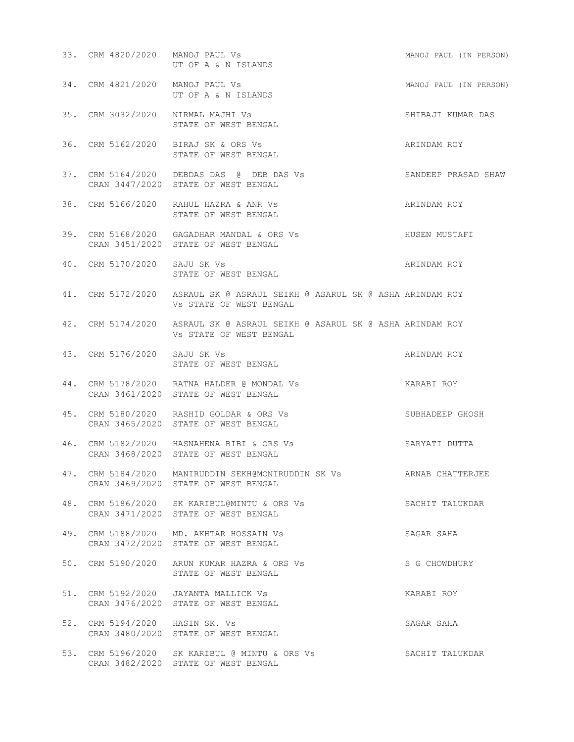| 33. CRM 4820/2020 MANOJ PAUL Vs | UT OF A & N ISLANDS                                                                                        | MANOJ PAUL (IN PERSON) |
|---------------------------------|------------------------------------------------------------------------------------------------------------|------------------------|
| 34. CRM 4821/2020 MANOJ PAUL Vs | MANOJ PAUL (IN PERSON)<br>UT OF A & N ISLANDS                                                              |                        |
|                                 | 35. CRM 3032/2020 NIRMAL MAJHI Vs<br>STATE OF WEST BENGAL                                                  | SHIBAJI KUMAR DAS      |
|                                 | 36. CRM 5162/2020 BIRAJ SK & ORS Vs<br>STATE OF WEST BENGAL                                                | ARINDAM ROY            |
|                                 | 37. CRM 5164/2020 DEBDAS DAS @ DEB DAS Vs<br>CRAN 3447/2020 STATE OF WEST BENGAL                           | SANDEEP PRASAD SHAW    |
|                                 | 38. CRM 5166/2020 RAHUL HAZRA & ANR Vs<br>STATE OF WEST BENGAL                                             | ARINDAM ROY            |
|                                 | 39. CRM 5168/2020 GAGADHAR MANDAL & ORS Vs<br>CRAN 3451/2020 STATE OF WEST BENGAL                          | HUSEN MUSTAFI          |
| 40. CRM 5170/2020 SAJU SK Vs    | STATE OF WEST BENGAL                                                                                       | ARINDAM ROY            |
|                                 | 41. CRM 5172/2020 ASRAUL SK @ ASRAUL SEIKH @ ASARUL SK @ ASHA ARINDAM ROY<br>VS STATE OF WEST BENGAL       |                        |
|                                 | 42. CRM 5174/2020 ASRAUL SK @ ASRAUL SEIKH @ ASARUL SK @ ASHA ARINDAM ROY<br>VS STATE OF WEST BENGAL       |                        |
| 43. CRM 5176/2020 SAJU SK Vs    | STATE OF WEST BENGAL                                                                                       | ARINDAM ROY            |
|                                 | 44. CRM 5178/2020 RATNA HALDER @ MONDAL Vs<br>CRAN 3461/2020 STATE OF WEST BENGAL                          | KARABI ROY             |
|                                 | 45. CRM 5180/2020 RASHID GOLDAR & ORS Vs<br>CRAN 3465/2020 STATE OF WEST BENGAL                            | SUBHADEEP GHOSH        |
|                                 | 46. CRM 5182/2020 HASNAHENA BIBI & ORS Vs<br>CRAN 3468/2020 STATE OF WEST BENGAL                           | SARYATI DUTTA          |
|                                 | 47. CRM 5184/2020 MANIRUDDIN SEKH@MONIRUDDIN SK Vs ARNAB CHATTERJEE<br>CRAN 3469/2020 STATE OF WEST BENGAL |                        |
|                                 | 48. CRM 5186/2020 SK KARIBUL@MINTU & ORS Vs<br>CRAN 3471/2020 STATE OF WEST BENGAL                         | SACHIT TALUKDAR        |
|                                 | 49. CRM 5188/2020 MD. AKHTAR HOSSAIN Vs<br>CRAN 3472/2020 STATE OF WEST BENGAL                             | SAGAR SAHA             |
|                                 | 50. CRM 5190/2020 ARUN KUMAR HAZRA & ORS Vs<br>STATE OF WEST BENGAL                                        | S G CHOWDHURY          |
|                                 | 51. CRM 5192/2020 JAYANTA MALLICK Vs<br>CRAN 3476/2020 STATE OF WEST BENGAL                                | KARABI ROY             |
| 52. CRM 5194/2020 HASIN SK. Vs  | CRAN 3480/2020 STATE OF WEST BENGAL                                                                        | SAGAR SAHA             |
|                                 | 53. CRM 5196/2020 SK KARIBUL @ MINTU & ORS Vs<br>CRAN 3482/2020 STATE OF WEST BENGAL                       | SACHIT TALUKDAR        |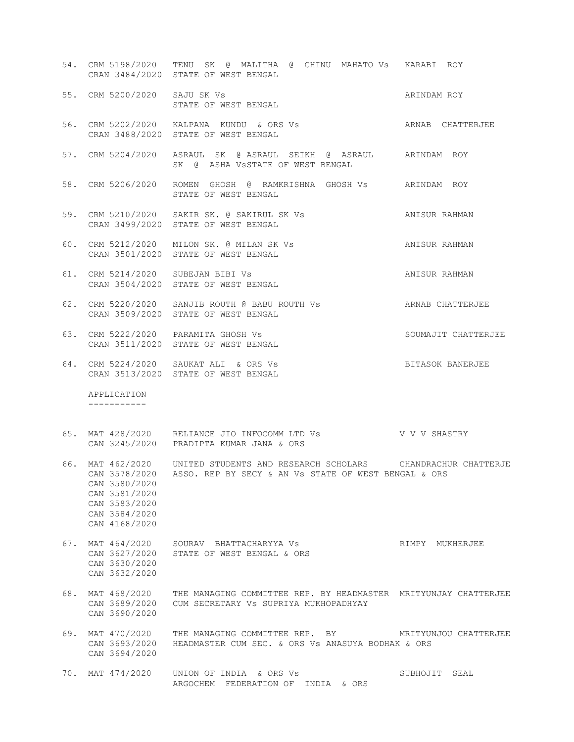|     |                                                                                   | 54. CRM 5198/2020 TENU SK @ MALITHA @ CHINU MAHATO Vs KARABI ROY<br>CRAN 3484/2020 STATE OF WEST BENGAL                                                                                                                                                                                                                                                                                                                                                            |                       |
|-----|-----------------------------------------------------------------------------------|--------------------------------------------------------------------------------------------------------------------------------------------------------------------------------------------------------------------------------------------------------------------------------------------------------------------------------------------------------------------------------------------------------------------------------------------------------------------|-----------------------|
|     | 55. CRM 5200/2020 SAJU SK Vs                                                      | $\begin{tabular}{lllllll} $\textsc{min} & $\textsc{min} & $\textsc{min} \; $ \textsc{min} \; $ \textsc{min} \; $ \textsc{min} \; $ \textsc{min} \; $ \textsc{min} \; $ \textsc{min} \; $ \textsc{min} \; $ \textsc{min} \; $ \textsc{min} \; $ \textsc{min} \; $ \textsc{min} \; $ \textsc{min} \; $ \textsc{min} \; $ \textsc{min} \; $ \textsc{min} \; $ \textsc{min} \; $ \textsc{min} \; $ \textsc{min} \; $ \textsc{min} \; $ \textsc{min} \; $ \textsc{min}$ | ARINDAM ROY           |
|     |                                                                                   | 56. CRM 5202/2020 KALPANA KUNDU & ORS Vs<br>CRAN 3488/2020 STATE OF WEST BENGAL                                                                                                                                                                                                                                                                                                                                                                                    | ARNAB CHATTERJEE      |
|     |                                                                                   | 57. CRM 5204/2020 ASRAUL SK @ ASRAUL SEIKH @ ASRAUL ARINDAM ROY<br>SK @ ASHA VSSTATE OF WEST BENGAL                                                                                                                                                                                                                                                                                                                                                                |                       |
|     |                                                                                   | 58. CRM 5206/2020 ROMEN GHOSH @ RAMKRISHNA GHOSH Vs ARINDAM ROY<br>STATE OF WEST BENGAL                                                                                                                                                                                                                                                                                                                                                                            |                       |
|     |                                                                                   | 59. CRM 5210/2020 SAKIR SK. @ SAKIRUL SK Vs ANISUR RAHMAN<br>CRAN 3499/2020 STATE OF WEST BENGAL                                                                                                                                                                                                                                                                                                                                                                   |                       |
|     |                                                                                   | 60. CRM 5212/2020 MILON SK. @ MILAN SK Vs ANISUR RAHMAN<br>CRAN 3501/2020 STATE OF WEST BENGAL                                                                                                                                                                                                                                                                                                                                                                     |                       |
|     |                                                                                   | 61. CRM 5214/2020 SUBEJAN BIBI Vs<br>CRAN 3504/2020 STATE OF WEST BENGAL                                                                                                                                                                                                                                                                                                                                                                                           | ANISUR RAHMAN         |
|     |                                                                                   | 62. CRM 5220/2020 SANJIB ROUTH @ BABU ROUTH Vs ARNAB CHATTERJEE<br>CRAN 3509/2020 STATE OF WEST BENGAL                                                                                                                                                                                                                                                                                                                                                             |                       |
|     |                                                                                   | 63. CRM 5222/2020 PARAMITA GHOSH Vs<br>CRAN 3511/2020 STATE OF WEST BENGAL                                                                                                                                                                                                                                                                                                                                                                                         | SOUMAJIT CHATTERJEE   |
|     |                                                                                   | 64. CRM 5224/2020 SAUKAT ALI & ORS Vs                                                                                                                                                                                                                                                                                                                                                                                                                              | BITASOK BANERJEE      |
|     |                                                                                   | CRAN 3513/2020 STATE OF WEST BENGAL                                                                                                                                                                                                                                                                                                                                                                                                                                |                       |
|     | APPLICATION<br>-----------                                                        |                                                                                                                                                                                                                                                                                                                                                                                                                                                                    |                       |
|     |                                                                                   | 65. MAT 428/2020 RELIANCE JIO INFOCOMM LTD Vs V V V SHASTRY<br>CAN 3245/2020 PRADIPTA KUMAR JANA & ORS                                                                                                                                                                                                                                                                                                                                                             |                       |
|     | CAN 3580/2020<br>CAN 3581/2020<br>CAN 3583/2020<br>CAN 3584/2020<br>CAN 4168/2020 | 66. MAT 462/2020 UNITED STUDENTS AND RESEARCH SCHOLARS CHANDRACHUR CHATTERJE<br>CAN 3578/2020 ASSO. REP BY SECY & AN Vs STATE OF WEST BENGAL & ORS                                                                                                                                                                                                                                                                                                                 |                       |
| 67. | MAT 464/2020<br>CAN 3627/2020<br>CAN 3630/2020<br>CAN 3632/2020                   | SOURAV BHATTACHARYYA VS<br>STATE OF WEST BENGAL & ORS                                                                                                                                                                                                                                                                                                                                                                                                              | RIMPY MUKHERJEE       |
| 68. | MAT 468/2020<br>CAN 3689/2020<br>CAN 3690/2020                                    | THE MANAGING COMMITTEE REP. BY HEADMASTER MRITYUNJAY CHATTERJEE<br>CUM SECRETARY VS SUPRIYA MUKHOPADHYAY                                                                                                                                                                                                                                                                                                                                                           |                       |
| 69. | MAT 470/2020<br>CAN 3693/2020<br>CAN 3694/2020                                    | THE MANAGING COMMITTEE REP. BY<br>HEADMASTER CUM SEC. & ORS Vs ANASUYA BODHAK & ORS                                                                                                                                                                                                                                                                                                                                                                                | MRITYUNJOU CHATTERJEE |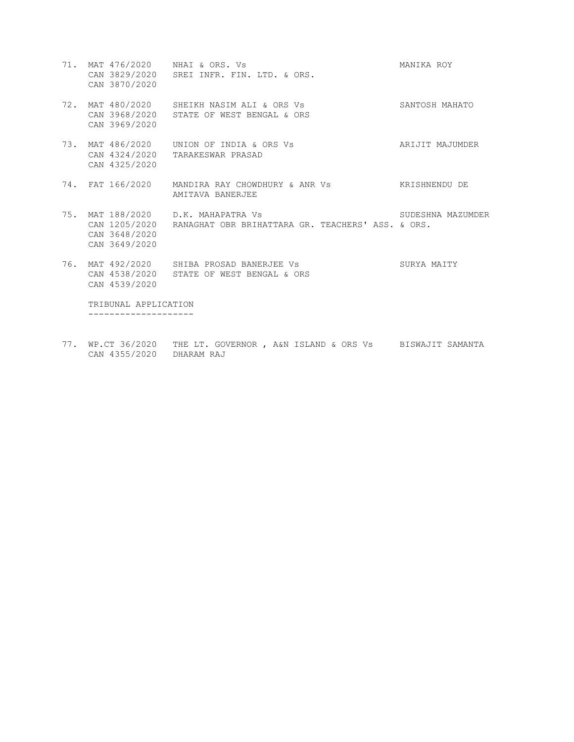- 71. MAT 476/2020 NHAI & ORS. Vs MANIKA ROY CAN 3829/2020 SREI INFR. FIN. LTD. & ORS. CAN 3870/2020 72. MAT 480/2020 SHEIKH NASIM ALI & ORS Vs SANTOSH MAHATO CAN 3968/2020 STATE OF WEST BENGAL & ORS CAN 3969/2020 73. MAT 486/2020 UNION OF INDIA & ORS Vs ARIJIT MAJUMDER CAN 4324/2020 TARAKESWAR PRASAD CAN 4325/2020 74. FAT 166/2020 MANDIRA RAY CHOWDHURY & ANR Vs KRISHNENDU DE AMITAVA BANERJEE 75. MAT 188/2020 D.K. MAHAPATRA Vs SUDESHNA MAZUMDER CAN 1205/2020 RANAGHAT OBR BRIHATTARA GR. TEACHERS' ASS. & ORS. CAN 3648/2020 CAN 3649/2020 76. MAT 492/2020 SHIBA PROSAD BANERJEE Vs SURYA MAITY CAN 4538/2020 STATE OF WEST BENGAL & ORS CAN 4539/2020 TRIBUNAL APPLICATION --------------------
- 77. WP.CT 36/2020 THE LT. GOVERNOR , A&N ISLAND & ORS Vs BISWAJIT SAMANTA CAN 4355/2020 DHARAM RAJ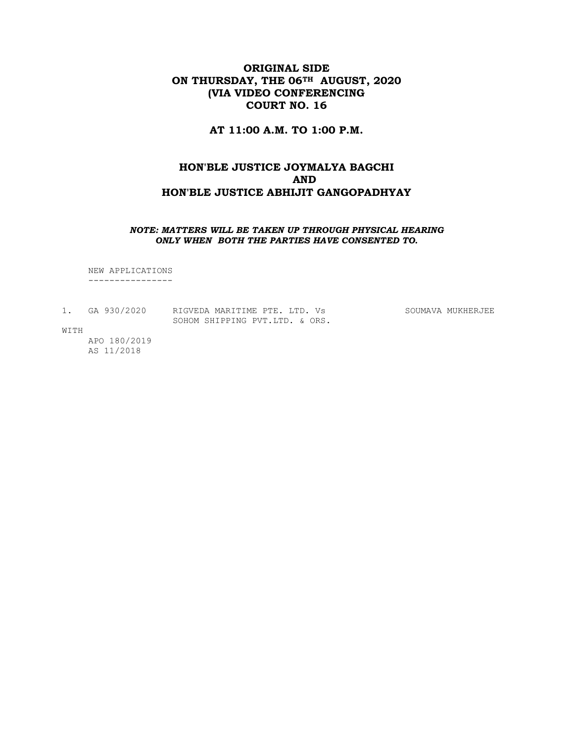# ORIGINAL SIDE ON THURSDAY, THE 06<sup>TH</sup> AUGUST, 2020 (VIA VIDEO CONFERENCING COURT NO. 16

AT 11:00 A.M. TO 1:00 P.M.

# HON'BLE JUSTICE JOYMALYA BAGCHI AND HON'BLE JUSTICE ABHIJIT GANGOPADHYAY

#### NOTE: MATTERS WILL BE TAKEN UP THROUGH PHYSICAL HEARING ONLY WHEN BOTH THE PARTIES HAVE CONSENTED TO.

 NEW APPLICATIONS ----------------

1. GA 930/2020 RIGVEDA MARITIME PTE. LTD. Vs SOUMAVA MUKHERJEE SOHOM SHIPPING PVT.LTD. & ORS.

WITH

 APO 180/2019 AS 11/2018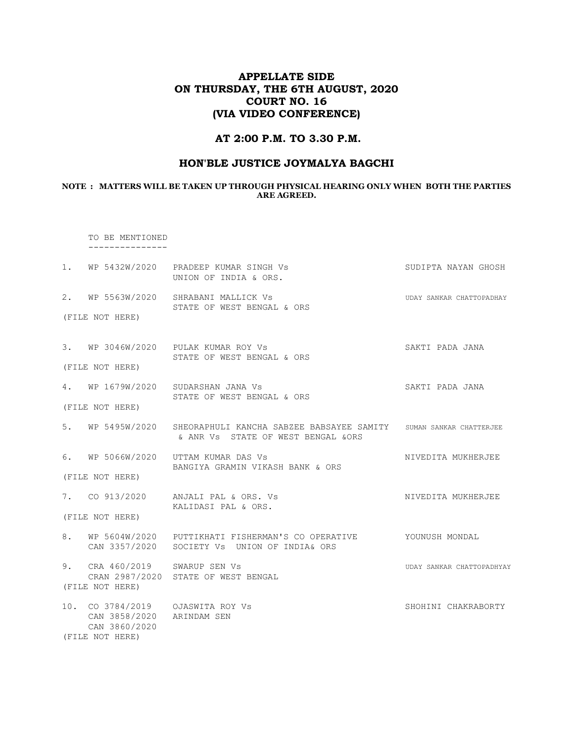# APPELLATE SIDE ON THURSDAY, THE 6TH AUGUST, 2020 COURT NO. 16 (VIA VIDEO CONFERENCE)

## AT 2:00 P.M. TO 3.30 P.M.

#### HON'BLE JUSTICE JOYMALYA BAGCHI

#### NOTE : MATTERS WILL BE TAKEN UP THROUGH PHYSICAL HEARING ONLY WHEN BOTH THE PARTIES ARE AGREED.

 TO BE MENTIONED ---------------

|                                                               | 1. WP 5432W/2020 PRADEEP KUMAR SINGH Vs<br>UNION OF INDIA & ORS.                                                         | SUDIPTA NAYAN GHOSH       |
|---------------------------------------------------------------|--------------------------------------------------------------------------------------------------------------------------|---------------------------|
|                                                               | 2. WP 5563W/2020 SHRABANI MALLICK Vs<br>STATE OF WEST BENGAL & ORS                                                       | UDAY SANKAR CHATTOPADHAY  |
| (FILE NOT HERE)                                               |                                                                                                                          |                           |
|                                                               | 3. WP 3046W/2020 PULAK KUMAR ROY Vs<br>STATE OF WEST BENGAL & ORS                                                        | SAKTI PADA JANA           |
| (FILE NOT HERE)                                               |                                                                                                                          |                           |
|                                                               | 4. WP 1679W/2020 SUDARSHAN JANA Vs<br>STATE OF WEST BENGAL & ORS                                                         | SAKTI PADA JANA           |
| (FILE NOT HERE)                                               |                                                                                                                          |                           |
|                                                               | 5. WP 5495W/2020 SHEORAPHULI KANCHA SABZEE BABSAYEE SAMITY SUMAN SANKAR CHATTERJEE<br>& ANR VS STATE OF WEST BENGAL &ORS |                           |
|                                                               | 6. WP 5066W/2020 UTTAM KUMAR DAS Vs<br>BANGIYA GRAMIN VIKASH BANK & ORS                                                  | NIVEDITA MUKHERJEE        |
| (FILE NOT HERE)                                               |                                                                                                                          |                           |
|                                                               | 7. CO 913/2020 ANJALI PAL & ORS. Vs<br>KALIDASI PAL & ORS.                                                               | NIVEDITA MUKHERJEE        |
| (FILE NOT HERE)                                               |                                                                                                                          |                           |
|                                                               | 8. WP 5604W/2020 PUTTIKHATI FISHERMAN'S CO OPERATIVE YOUNUSH MONDAL<br>CAN 3357/2020 SOCIETY Vs UNION OF INDIA& ORS      |                           |
| 9. CRA 460/2019 SWARUP SEN Vs                                 | CRAN 2987/2020 STATE OF WEST BENGAL                                                                                      | UDAY SANKAR CHATTOPADHYAY |
| (FILE NOT HERE)                                               |                                                                                                                          |                           |
| CAN 3858/2020 ARINDAM SEN<br>CAN 3860/2020<br>(FILE NOT HERE) |                                                                                                                          | SHOHINI CHAKRABORTY       |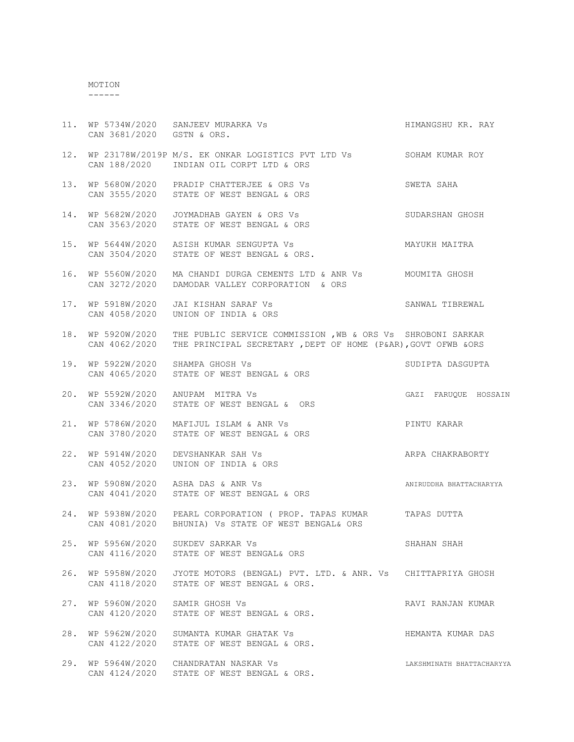# MOTION

------

|     | CAN 3681/2020 GSTN & ORS.          | HIMANGSHU KR. RAY<br>11. WP 5734W/2020 SANJEEV MURARKA Vs                                                                     |                           |
|-----|------------------------------------|-------------------------------------------------------------------------------------------------------------------------------|---------------------------|
|     |                                    | 12. WP 23178W/2019P M/S. EK ONKAR LOGISTICS PVT LTD Vs SOHAM KUMAR ROY<br>CAN 188/2020 INDIAN OIL CORPT LTD & ORS             |                           |
|     |                                    | 13. WP 5680W/2020 PRADIP CHATTERJEE & ORS Vs<br>CAN 3555/2020 STATE OF WEST BENGAL & ORS                                      | SWETA SAHA                |
|     |                                    | 14. WP 5682W/2020  JOYMADHAB GAYEN & ORS Vs<br>CAN 3563/2020 STATE OF WEST BENGAL & ORS                                       | SUDARSHAN GHOSH           |
|     |                                    | 15. WP 5644W/2020 ASISH KUMAR SENGUPTA Vs<br>CAN 3504/2020 STATE OF WEST BENGAL & ORS.                                        | MAYUKH MAITRA             |
| 16. | WP 5560W/2020<br>CAN 3272/2020     | MA CHANDI DURGA CEMENTS LTD & ANR Vs MOUMITA GHOSH<br>DAMODAR VALLEY CORPORATION & ORS                                        |                           |
|     | CAN 4058/2020                      | 17. WP 5918W/2020 JAI KISHAN SARAF Vs<br>UNION OF INDIA & ORS                                                                 | SANWAL TIBREWAL           |
| 18. | WP 5920W/2020<br>CAN 4062/2020     | THE PUBLIC SERVICE COMMISSION , WB & ORS Vs SHROBONI SARKAR<br>THE PRINCIPAL SECRETARY , DEPT OF HOME (P&AR), GOVT OFWB & ORS |                           |
| 19. | WP 5922W/2020                      | SHAMPA GHOSH Vs<br>$\sum_{i=1}^{n} a_i$<br>CAN 4065/2020 STATE OF WEST BENGAL & ORS                                           | SUDIPTA DASGUPTA          |
|     |                                    | 20. WP 5592W/2020 ANUPAM MITRA Vs<br>CAN 3346/2020 STATE OF WEST BENGAL & ORS                                                 | GAZI FARUQUE HOSSAIN      |
| 21. |                                    | WP 5786W/2020 MAFIJUL ISLAM & ANR Vs<br>CAN 3780/2020 STATE OF WEST BENGAL & ORS                                              | PINTU KARAR               |
| 22. | WP 5914W/2020<br>CAN 4052/2020     | DEVSHANKAR SAH Vs<br>UNION OF INDIA & ORS                                                                                     | ARPA CHAKRABORTY          |
|     |                                    | 23. WP 5908W/2020 ASHA DAS & ANR Vs<br>CAN 4041/2020 STATE OF WEST BENGAL & ORS                                               | ANIRUDDHA BHATTACHARYYA   |
| 24. |                                    | WP 5938W/2020 PEARL CORPORATION (PROP. TAPAS KUMAR TAPAS DUTTA<br>CAN 4081/2020 BHUNIA) Vs STATE OF WEST BENGAL& ORS          |                           |
|     | 25. WP 5956W/2020<br>CAN 4116/2020 | SUKDEV SARKAR Vs<br>STATE OF WEST BENGAL& ORS                                                                                 | SHAHAN SHAH               |
| 26. | WP 5958W/2020<br>CAN 4118/2020     | JYOTE MOTORS (BENGAL) PVT. LTD. & ANR. Vs CHITTAPRIYA GHOSH<br>STATE OF WEST BENGAL & ORS.                                    |                           |
| 27. | WP 5960W/2020<br>CAN 4120/2020     | SAMIR GHOSH Vs<br>STATE OF WEST BENGAL & ORS.                                                                                 | RAVI RANJAN KUMAR         |
| 28. | WP 5962W/2020<br>CAN 4122/2020     | SUMANTA KUMAR GHATAK Vs<br>STATE OF WEST BENGAL & ORS.                                                                        | HEMANTA KUMAR DAS         |
| 29. | WP 5964W/2020<br>CAN 4124/2020     | CHANDRATAN NASKAR Vs<br>STATE OF WEST BENGAL & ORS.                                                                           | LAKSHMINATH BHATTACHARYYA |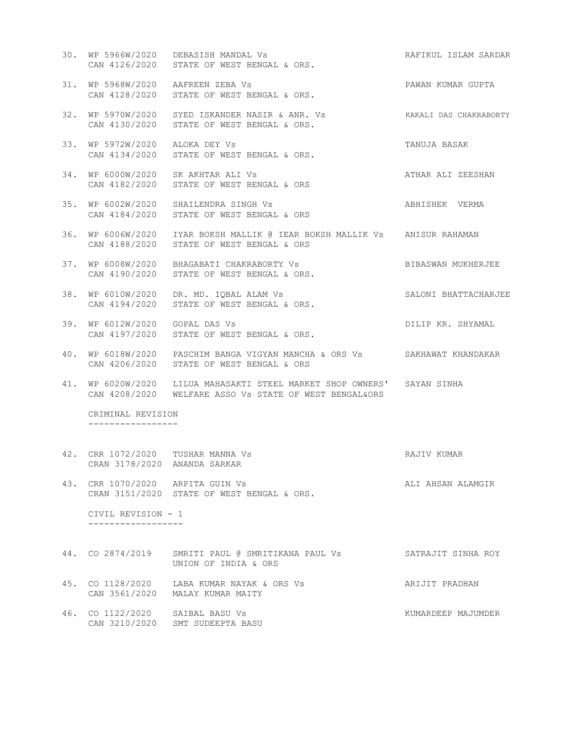- 30. WP 5966W/2020 DEBASISH MANDAL Vs RAFIKUL ISLAM SARDAR CAN 4126/2020 STATE OF WEST BENGAL & ORS. 31. WP 5968W/2020 AAFREEN ZEBA Vs PAWAN KUMAR GUPTA CAN 4128/2020 STATE OF WEST BENGAL & ORS. 32. WP 5970W/2020 SYED ISKANDER NASIR & ANR. Vs KAKALI DAS CHAKRABORTY CAN 4130/2020 STATE OF WEST BENGAL & ORS. 33. WP 5972W/2020 ALOKA DEY Vs TANUJA BASAK CAN 4134/2020 STATE OF WEST BENGAL & ORS. 34. WP 6000W/2020 SK AKHTAR ALI Vs ATHAR ALI ZEESHAN CAN 4182/2020 STATE OF WEST BENGAL & ORS 35. WP 6002W/2020 SHAILENDRA SINGH Vs ABHISHEK VERMA CAN 4184/2020 STATE OF WEST BENGAL & ORS 36. WP 6006W/2020 IYAR BOKSH MALLIK @ IEAR BOKSH MALLIK Vs ANISUR RAHAMAN CAN 4188/2020 STATE OF WEST BENGAL & ORS 37. WP 6008W/2020 BHAGABATI CHAKRABORTY Vs BIBASWAN MUKHERJEE CAN 4190/2020 STATE OF WEST BENGAL & ORS. 38. WP 6010W/2020 DR. MD. IQBAL ALAM Vs SALONI BHATTACHARJEE CAN 4194/2020 STATE OF WEST BENGAL & ORS. 39. WP 6012W/2020 GOPAL DAS Vs DILIP KR. SHYAMAL CAN 4197/2020 STATE OF WEST BENGAL & ORS. 40. WP 6018W/2020 PASCHIM BANGA VIGYAN MANCHA & ORS Vs SAKHAWAT KHANDAKAR CAN 4206/2020 STATE OF WEST BENGAL & ORS 41. WP 6020W/2020 LILUA MAHASAKTI STEEL MARKET SHOP OWNERS' SAYAN SINHA CAN 4208/2020 WELFARE ASSO Vs STATE OF WEST BENGAL&ORS CRIMINAL REVISION ----------------- 42. CRR 1072/2020 TUSHAR MANNA Vs RAJIV KUMAR CRAN 3178/2020 ANANDA SARKAR 43. CRR 1070/2020 ARPITA GUIN Vs **ALI ALI AHSAN ALAMGIR**  CRAN 3151/2020 STATE OF WEST BENGAL & ORS. CIVIL REVISION - 1 ------------------
- 44. CO 2874/2019 SMRITI PAUL @ SMRITIKANA PAUL Vs SATRAJIT SINHA ROY UNION OF INDIA & ORS 45. CO 1128/2020 LABA KUMAR NAYAK & ORS Vs ARIJIT PRADHAN CAN 3561/2020 MALAY KUMAR MAITY
- 46. CO 1122/2020 SAIBAL BASU Vs **KUMARDEEP MAJUMDER** CAN 3210/2020 SMT SUDEEPTA BASU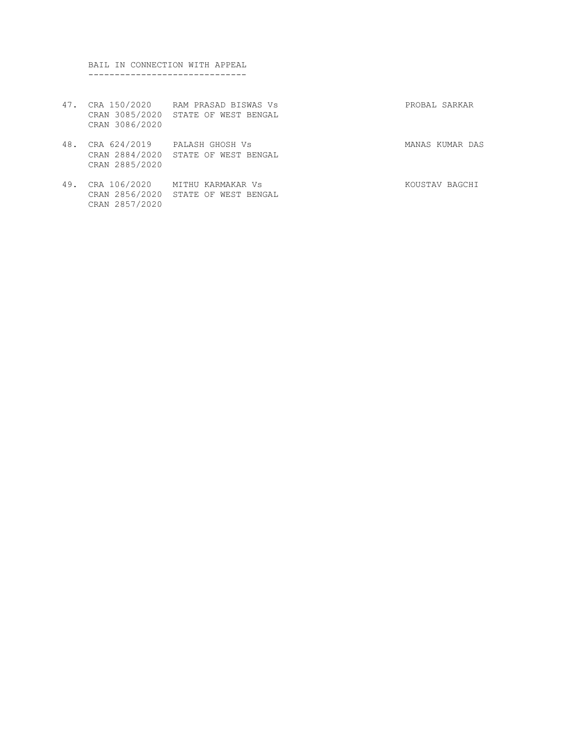BAIL IN CONNECTION WITH APPEAL ------------------------------

- 47. CRA 150/2020 RAM PRASAD BISWAS Vs PROBAL SARKAR CRAN 3085/2020 STATE OF WEST BENGAL CRAN 3086/2020
- 48. CRA 624/2019 PALASH GHOSH Vs **MANAS KUMAR** DAS CRAN 2884/2020 STATE OF WEST BENGAL CRAN 2885/2020
- 49. CRA 106/2020 MITHU KARMAKAR Vs KOUSTAV BAGCHI CRAN 2856/2020 STATE OF WEST BENGAL CRAN 2857/2020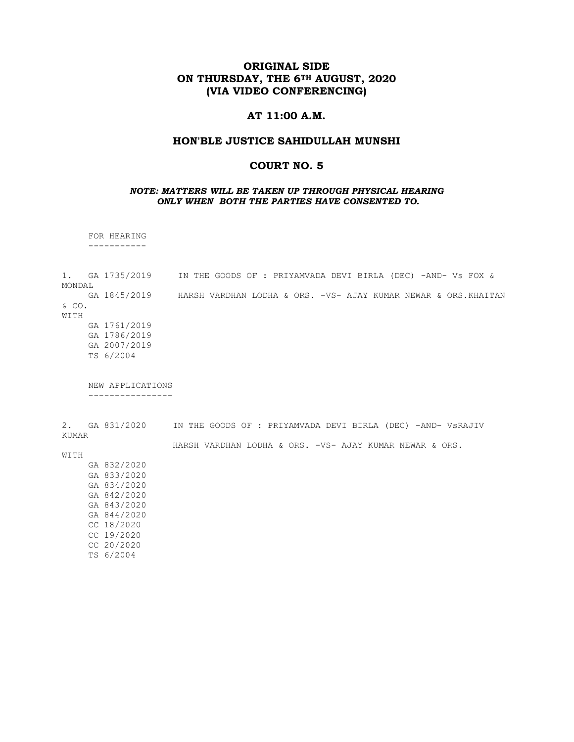## ORIGINAL SIDE ON THURSDAY, THE 6<sup>TH</sup> AUGUST, 2020 (VIA VIDEO CONFERENCING)

### AT 11:00 A.M.

#### HON'BLE JUSTICE SAHIDULLAH MUNSHI

## COURT NO. 5

#### NOTE: MATTERS WILL BE TAKEN UP THROUGH PHYSICAL HEARING ONLY WHEN BOTH THE PARTIES HAVE CONSENTED TO.

 FOR HEARING -----------

1. GA 1735/2019 IN THE GOODS OF : PRIYAMVADA DEVI BIRLA (DEC) -AND- Vs FOX & MONDAL<br>GA 1845/2019 HARSH VARDHAN LODHA & ORS. -VS- AJAY KUMAR NEWAR & ORS.KHAITAN & CO. WITH GA 1761/2019 GA 1786/2019 GA 2007/2019 TS 6/2004 NEW APPLICATIONS ----------------

2. GA 831/2020 IN THE GOODS OF : PRIYAMVADA DEVI BIRLA (DEC) -AND- VsRAJIV KUMAR HARSH VARDHAN LODHA & ORS. -VS- AJAY KUMAR NEWAR & ORS.

WITH

 GA 832/2020 GA 833/2020 GA 834/2020 GA 842/2020 GA 843/2020 GA 844/2020 CC 18/2020 CC 19/2020 CC 20/2020 TS 6/2004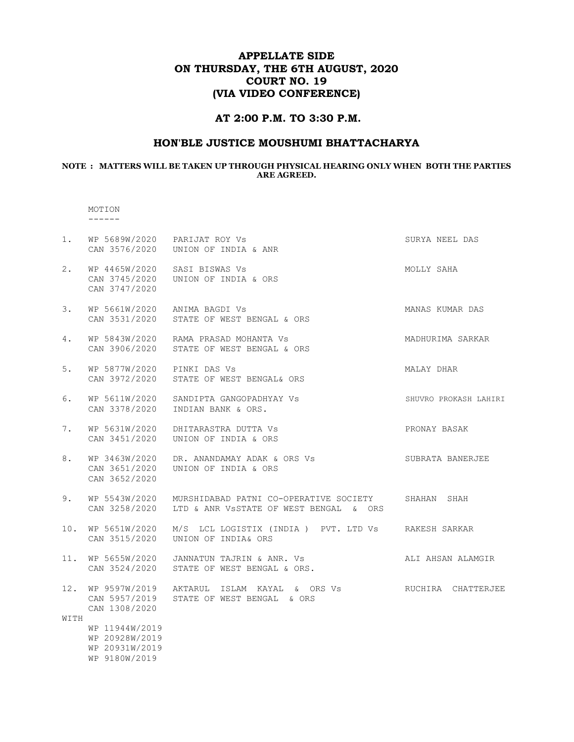# APPELLATE SIDE ON THURSDAY, THE 6TH AUGUST, 2020 COURT NO. 19 (VIA VIDEO CONFERENCE)

## AT 2:00 P.M. TO 3:30 P.M.

## HON'BLE JUSTICE MOUSHUMI BHATTACHARYA

#### NOTE : MATTERS WILL BE TAKEN UP THROUGH PHYSICAL HEARING ONLY WHEN BOTH THE PARTIES ARE AGREED.

#### MOTION ------

| 1.          | WP 5689W/2020 PARIJAT ROY Vs                                        | CAN 3576/2020    UNION OF INDIA & ANR                                                        | SURYA NEEL DAS        |
|-------------|---------------------------------------------------------------------|----------------------------------------------------------------------------------------------|-----------------------|
| 2.          | WP 4465W/2020 SASI BISWAS Vs<br>CAN 3747/2020                       | CAN 3745/2020 UNION OF INDIA & ORS                                                           | MOLLY SAHA            |
| 3.          | WP 5661W/2020 ANIMA BAGDI Vs                                        | CAN 3531/2020 STATE OF WEST BENGAL & ORS                                                     | MANAS KUMAR DAS       |
| 4.          |                                                                     | WP 5843W/2020 RAMA PRASAD MOHANTA Vs<br>CAN 3906/2020 STATE OF WEST BENGAL & ORS             | MADHURIMA SARKAR      |
| 5.          | WP 5877W/2020 PINKI DAS Vs                                          | CAN 3972/2020 STATE OF WEST BENGAL& ORS                                                      | MALAY DHAR            |
| 6.          | WP 5611W/2020<br>CAN 3378/2020                                      | SANDIPTA GANGOPADHYAY VS<br>INDIAN BANK & ORS.                                               | SHUVRO PROKASH LAHIRI |
| 7.          | WP 5631W/2020<br>CAN 3451/2020                                      | DHITARASTRA DUTTA VS<br>UNION OF INDIA & ORS                                                 | PRONAY BASAK          |
| 8.          | WP 3463W/2020<br>CAN 3651/2020<br>CAN 3652/2020                     | DR. ANANDAMAY ADAK & ORS Vs<br>UNION OF INDIA & ORS                                          | SUBRATA BANERJEE      |
| 9.          | WP 5543W/2020<br>CAN 3258/2020                                      | MURSHIDABAD PATNI CO-OPERATIVE SOCIETY<br>LTD & ANR VSSTATE OF WEST BENGAL & ORS             | SHAHAN SHAH           |
| 10.         | WP 5651W/2020<br>CAN 3515/2020                                      | M/S LCL LOGISTIX (INDIA ) PVT. LTD Vs RAKESH SARKAR<br>UNION OF INDIA& ORS                   |                       |
| 11.         | WP 5655W/2020<br>CAN 3524/2020                                      | JANNATUN TAJRIN & ANR. Vs<br>STATE OF WEST BENGAL & ORS.                                     | ALI AHSAN ALAMGIR     |
| 12.<br>WITH | CAN 1308/2020                                                       | WP 9597W/2019   AKTARUL  ISLAM  KAYAL  &  ORS Vs<br>CAN 5957/2019 STATE OF WEST BENGAL & ORS | RUCHIRA CHATTERJEE    |
|             | WP 11944W/2019<br>WP 20928W/2019<br>WP 20931W/2019<br>WP 9180W/2019 |                                                                                              |                       |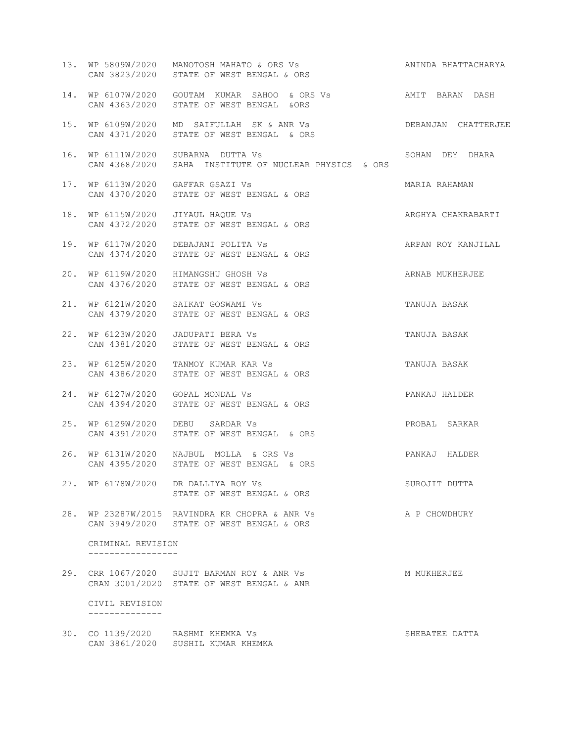| 13. | WP 5809W/2020<br>CAN 3823/2020         | MANOTOSH MAHATO & ORS Vs<br>STATE OF WEST BENGAL & ORS                                     | ANINDA BHATTACHARYA |
|-----|----------------------------------------|--------------------------------------------------------------------------------------------|---------------------|
| 14. | WP 6107W/2020<br>CAN 4363/2020         | GOUTAM KUMAR SAHOO & ORS Vs                 AMIT BARAN DASH<br>STATE OF WEST BENGAL & ORS  |                     |
|     | 15. WP 6109W/2020<br>CAN 4371/2020     | MD SAIFULLAH SK & ANR VS<br>STATE OF WEST BENGAL & ORS                                     | DEBANJAN CHATTERJEE |
| 16. | WP 6111W/2020                          | SUBARNA DUTTA Vs<br>CAN 4368/2020 SAHA INSTITUTE OF NUCLEAR PHYSICS & ORS                  | SOHAN DEY DHARA     |
| 17. | WP 6113W/2020<br>CAN 4370/2020         | GAFFAR GSAZI Vs<br>STATE OF WEST BENGAL & ORS                                              | MARIA RAHAMAN       |
| 18. |                                        | WP 6115W/2020 JIYAUL HAQUE Vs<br>CAN 4372/2020 STATE OF WEST BENGAL & ORS                  | ARGHYA CHAKRABARTI  |
| 19. | WP 6117W/2020<br>CAN 4374/2020         | DEBAJANI POLITA VS<br>STATE OF WEST BENGAL & ORS                                           | ARPAN ROY KANJILAL  |
| 20. | WP 6119W/2020<br>CAN 4376/2020         | HIMANGSHU GHOSH Vs<br>STATE OF WEST BENGAL & ORS                                           | ARNAB MUKHERJEE     |
| 21. | WP 6121W/2020<br>CAN 4379/2020         | SAIKAT GOSWAMI Vs<br>STATE OF WEST BENGAL & ORS                                            | TANUJA BASAK        |
| 22. | WP 6123W/2020<br>CAN 4381/2020         | JADUPATI BERA Vs<br>STATE OF WEST BENGAL & ORS                                             | TANUJA BASAK        |
| 23. | WP 6125W/2020<br>CAN 4386/2020         | TANMOY KUMAR KAR Vs<br>STATE OF WEST BENGAL & ORS                                          | TANUJA BASAK        |
| 24. | WP 6127W/2020<br>CAN 4394/2020         | GOPAL MONDAL Vs<br>STATE OF WEST BENGAL & ORS                                              | PANKAJ HALDER       |
| 25. | WP 6129W/2020                          | DEBU SARDAR Vs<br>CAN 4391/2020 STATE OF WEST BENGAL & ORS                                 | PROBAL SARKAR       |
| 26. | CAN 4395/2020                          | WP 6131W/2020 NAJBUL MOLLA & ORS Vs<br>STATE OF WEST BENGAL & ORS                          | PANKAJ HALDER       |
|     |                                        | 27. WP 6178W/2020 DR DALLIYA ROY Vs<br>STATE OF WEST BENGAL & ORS                          | SUROJIT DUTTA       |
|     |                                        | 28. WP 23287W/2015 RAVINDRA KR CHOPRA & ANR Vs<br>CAN 3949/2020 STATE OF WEST BENGAL & ORS | A P CHOWDHURY       |
|     | CRIMINAL REVISION<br>----------------- |                                                                                            |                     |
|     |                                        | 29. CRR 1067/2020 SUJIT BARMAN ROY & ANR Vs<br>CRAN 3001/2020 STATE OF WEST BENGAL & ANR   | M MUKHERJEE         |
|     | CIVIL REVISION<br>--------------       |                                                                                            |                     |
|     |                                        | 30. CO 1139/2020 RASHMI KHEMKA Vs<br>CAN 3861/2020 SUSHIL KUMAR KHEMKA                     | SHEBATEE DATTA      |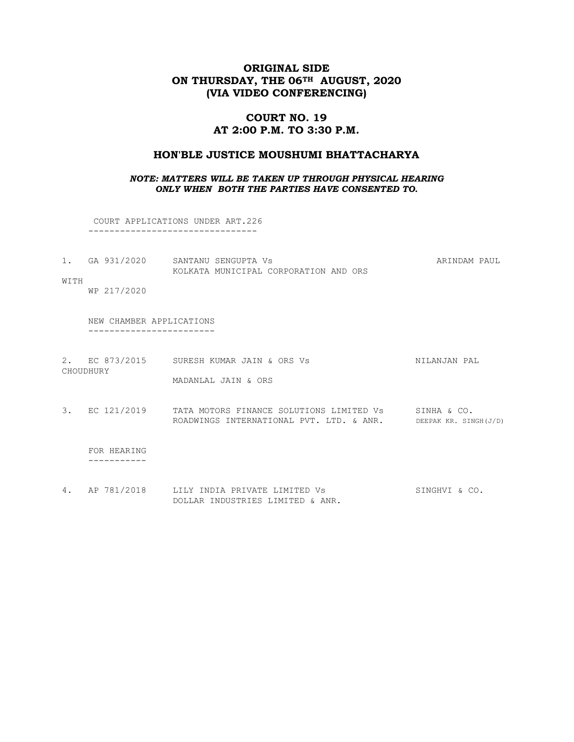# ORIGINAL SIDE ON THURSDAY, THE 06<sup>TH</sup> AUGUST, 2020 (VIA VIDEO CONFERENCING)

# COURT NO. 19 AT 2:00 P.M. TO 3:30 P.M.

## HON'BLE JUSTICE MOUSHUMI BHATTACHARYA

#### NOTE: MATTERS WILL BE TAKEN UP THROUGH PHYSICAL HEARING ONLY WHEN BOTH THE PARTIES HAVE CONSENTED TO.

 COURT APPLICATIONS UNDER ART.226 --------------------------------

| GA 931/2020 | SANTANU SENGUPTA VS                   | ARINDAM PAHI |
|-------------|---------------------------------------|--------------|
|             | KOLKATA MUNICIPAL CORPORATION AND ORS |              |

WITH

WP 217/2020

 NEW CHAMBER APPLICATIONS ------------------------

- 2. EC 873/2015 SURESH KUMAR JAIN & ORS Vs NILANJAN PAL CHOUDHURY MADANLAL JAIN & ORS
- 3. EC 121/2019 TATA MOTORS FINANCE SOLUTIONS LIMITED Vs SINHA & CO. ROADWINGS INTERNATIONAL PVT. LTD. & ANR. DEEPAK KR. SINGH(J/D)

 FOR HEARING -----------

4. AP 781/2018 LILY INDIA PRIVATE LIMITED Vs SINGHVI & CO. DOLLAR INDUSTRIES LIMITED & ANR.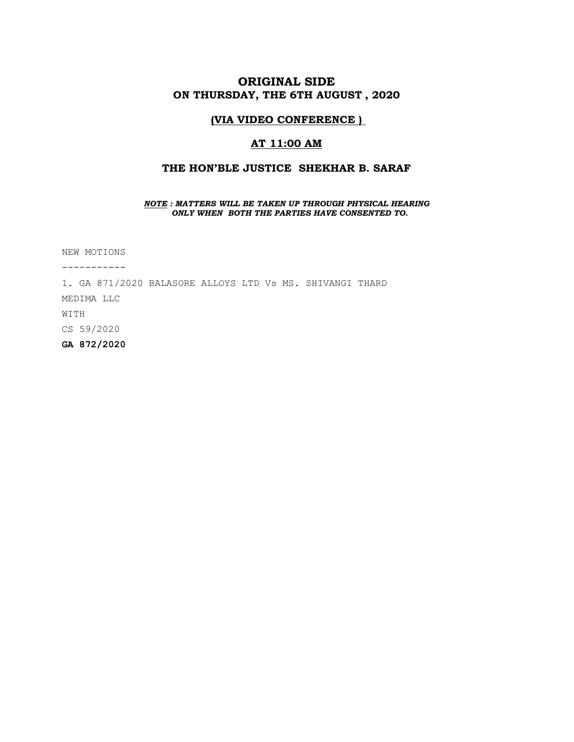# ORIGINAL SIDE ON THURSDAY, THE 6TH AUGUST , 2020

## (VIA VIDEO CONFERENCE )

## AT 11:00 AM

## THE HON'BLE JUSTICE SHEKHAR B. SARAF

#### NOTE : MATTERS WILL BE TAKEN UP THROUGH PHYSICAL HEARING ONLY WHEN BOTH THE PARTIES HAVE CONSENTED TO.

NEW MOTIONS

-----------

1. GA 871/2020 BALASORE ALLOYS LTD Vs MS. SHIVANGI THARD

MEDIMA LLC

WITH

CS 59/2020

GA 872/2020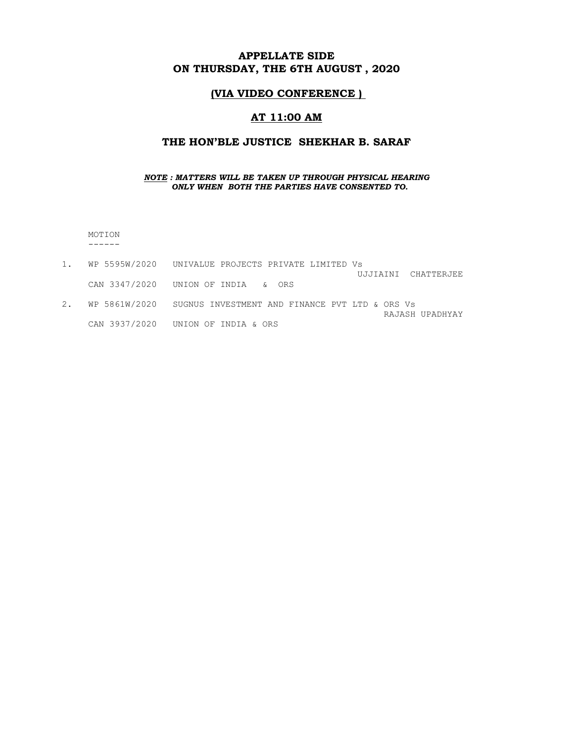# APPELLATE SIDE ON THURSDAY, THE 6TH AUGUST , 2020

## (VIA VIDEO CONFERENCE )

## AT 11:00 AM

## THE HON'BLE JUSTICE SHEKHAR B. SARAF

#### NOTE : MATTERS WILL BE TAKEN UP THROUGH PHYSICAL HEARING ONLY WHEN BOTH THE PARTIES HAVE CONSENTED TO.

 MOTION ------

- 1. WP 5595W/2020 UNIVALUE PROJECTS PRIVATE LIMITED Vs UJJIAINI CHATTERJEE CAN 3347/2020 UNION OF INDIA & ORS 2. WP 5861W/2020 SUGNUS INVESTMENT AND FINANCE PVT LTD & ORS Vs
- RAJASH UPADHYAY CAN 3937/2020 UNION OF INDIA & ORS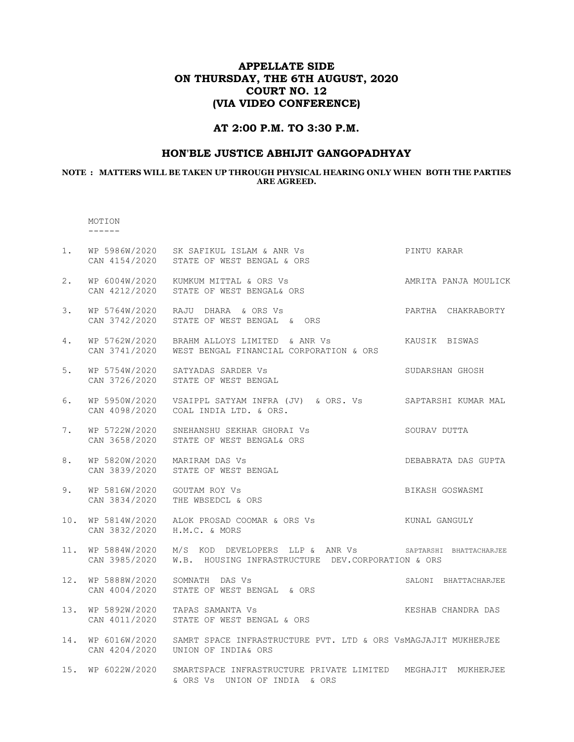# APPELLATE SIDE ON THURSDAY, THE 6TH AUGUST, 2020 COURT NO. 12 (VIA VIDEO CONFERENCE)

## AT 2:00 P.M. TO 3:30 P.M.

# HON'BLE JUSTICE ABHIJIT GANGOPADHYAY

#### NOTE : MATTERS WILL BE TAKEN UP THROUGH PHYSICAL HEARING ONLY WHEN BOTH THE PARTIES ARE AGREED.

#### MOTION ------

| $1$ . | CAN 4154/2020                  | WP 5986W/2020 SK SAFIKUL ISLAM & ANR Vs<br>STATE OF WEST BENGAL & ORS                                        | PINTU KARAR          |
|-------|--------------------------------|--------------------------------------------------------------------------------------------------------------|----------------------|
| 2.    | CAN 4212/2020                  | WP 6004W/2020 KUMKUM MITTAL & ORS Vs<br>STATE OF WEST BENGAL& ORS                                            | AMRITA PANJA MOULICK |
| 3.    | CAN 3742/2020                  | WP 5764W/2020 RAJU DHARA & ORS Vs<br>STATE OF WEST BENGAL & ORS                                              | PARTHA CHAKRABORTY   |
| 4.    | CAN 3741/2020                  | WP 5762W/2020 BRAHM ALLOYS LIMITED & ANR Vs<br>WEST BENGAL FINANCIAL CORPORATION & ORS                       | KAUSIK BISWAS        |
| 5.    | CAN 3726/2020                  | WP 5754W/2020 SATYADAS SARDER Vs<br>STATE OF WEST BENGAL                                                     | SUDARSHAN GHOSH      |
| 6.    | CAN 4098/2020                  | COAL INDIA LTD. & ORS.                                                                                       |                      |
| 7.    | WP 5722W/2020<br>CAN 3658/2020 | SNEHANSHU SEKHAR GHORAI VS SOURAV DUTTA<br>STATE OF WEST BENGAL& ORS                                         |                      |
| 8.    | CAN 3839/2020                  | WP 5820W/2020 MARIRAM DAS Vs<br>STATE OF WEST BENGAL                                                         | DEBABRATA DAS GUPTA  |
| 9.    | WP 5816W/2020<br>CAN 3834/2020 | GOUTAM ROY Vs<br>THE WBSEDCL & ORS                                                                           | BIKASH GOSWASMI      |
| 10.   | WP 5814W/2020<br>CAN 3832/2020 | H.M.C. & MORS                                                                                                |                      |
| 11.   | WP 5884W/2020<br>CAN 3985/2020 | M/S KOD DEVELOPERS LLP & ANR Vs SAPTARSHI BHATTACHARJEE<br>W.B. HOUSING INFRASTRUCTURE DEV.CORPORATION & ORS |                      |
| 12.   | WP 5888W/2020<br>CAN 4004/2020 | SOMNATH DAS Vs<br>STATE OF WEST BENGAL & ORS                                                                 | SALONI BHATTACHARJEE |
| 13.   | WP 5892W/2020<br>CAN 4011/2020 | TAPAS SAMANTA Vs<br>STATE OF WEST BENGAL & ORS                                                               | KESHAB CHANDRA DAS   |
| 14.   | WP 6016W/2020<br>CAN 4204/2020 | SAMRT SPACE INFRASTRUCTURE PVT. LTD & ORS VSMAGJAJIT MUKHERJEE<br>UNION OF INDIA& ORS                        |                      |
|       | 15. WP 6022W/2020              | SMARTSPACE INFRASTRUCTURE PRIVATE LIMITED MEGHAJIT MUKHERJEE<br>& ORS Vs UNION OF INDIA & ORS                |                      |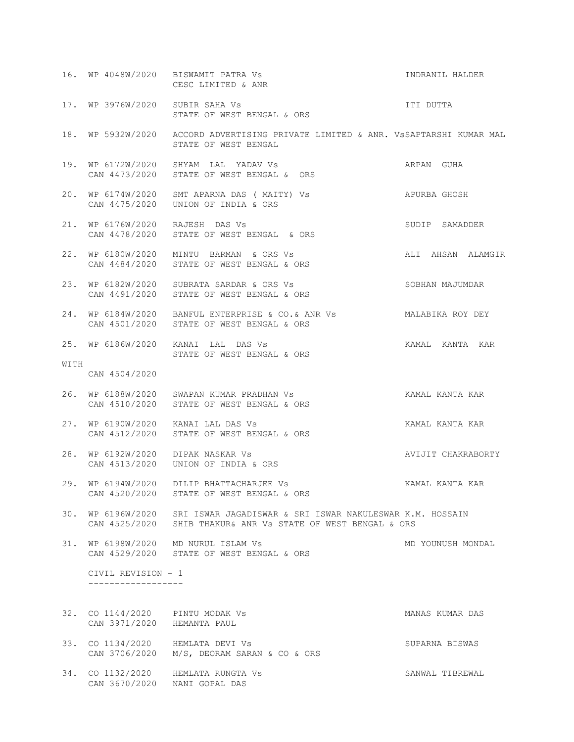|      |                                          | 16. WP 4048W/2020 BISWAMIT PATRA Vs<br>CESC LIMITED & ANR                                                                                  | INDRANIL HALDER    |
|------|------------------------------------------|--------------------------------------------------------------------------------------------------------------------------------------------|--------------------|
|      | 17. WP 3976W/2020 SUBIR SAHA Vs          | STATE OF WEST BENGAL & ORS                                                                                                                 | ITI DUTTA          |
|      |                                          | 18. WP 5932W/2020 ACCORD ADVERTISING PRIVATE LIMITED & ANR. VSSAPTARSHI KUMAR MAL<br>STATE OF WEST BENGAL                                  |                    |
|      |                                          | 19. WP 6172W/2020 SHYAM LAL YADAV Vs<br>CAN 4473/2020 STATE OF WEST BENGAL & ORS                                                           | ARPAN GUHA         |
|      |                                          | 20. WP 6174W/2020 SMT APARNA DAS ( MAITY) Vs<br>APURBA GHOSH<br>CAN 4475/2020 UNION OF INDIA & ORS                                         |                    |
|      | 21. WP 6176W/2020 RAJESH DAS Vs          | CAN 4478/2020 STATE OF WEST BENGAL & ORS                                                                                                   | SUDIP SAMADDER     |
|      |                                          | 22. WP 6180W/2020 MINTU BARMAN & ORS Vs<br>CAN 4484/2020 STATE OF WEST BENGAL & ORS                                                        | ALI AHSAN ALAMGIR  |
| 23.  |                                          | WP 6182W/2020 SUBRATA SARDAR & ORS Vs<br>CAN 4491/2020 STATE OF WEST BENGAL & ORS                                                          | SOBHAN MAJUMDAR    |
|      |                                          | 24. WP 6184W/2020 BANFUL ENTERPRISE & CO. & ANR Vs MALABIKA ROY DEY<br>CAN 4501/2020 STATE OF WEST BENGAL & ORS                            |                    |
|      |                                          | 25. WP 6186W/2020 KANAI LAL DAS Vs<br>STATE OF WEST BENGAL & ORS                                                                           | KAMAL KANTA KAR    |
| WITH | CAN 4504/2020                            |                                                                                                                                            |                    |
|      |                                          | 26. WP 6188W/2020 SWAPAN KUMAR PRADHAN Vs<br>CAN 4510/2020 STATE OF WEST BENGAL & ORS                                                      | KAMAL KANTA KAR    |
|      |                                          | 27. WP 6190W/2020 KANAI LAL DAS Vs<br>CAN 4512/2020 STATE OF WEST BENGAL & ORS                                                             | KAMAL KANTA KAR    |
| 28.  |                                          | WP 6192W/2020 DIPAK NASKAR Vs<br>CAN 4513/2020 UNION OF INDIA & ORS                                                                        | AVIJIT CHAKRABORTY |
|      | CAN 4520/2020                            | 29. WP 6194W/2020 DILIP BHATTACHARJEE Vs<br>STATE OF WEST BENGAL & ORS                                                                     | KAMAL KANTA KAR    |
|      |                                          | 30. WP 6196W/2020 SRI ISWAR JAGADISWAR & SRI ISWAR NAKULESWAR K.M. HOSSAIN<br>CAN 4525/2020 SHIB THAKUR& ANR VS STATE OF WEST BENGAL & ORS |                    |
|      |                                          | 31. WP 6198W/2020 MD NURUL ISLAM Vs<br>CAN 4529/2020 STATE OF WEST BENGAL & ORS                                                            | MD YOUNUSH MONDAL  |
|      | CIVIL REVISION - 1<br>------------------ |                                                                                                                                            |                    |
|      | 32. CO 1144/2020 PINTU MODAK Vs          |                                                                                                                                            | MANAS KUMAR DAS    |
|      | CAN 3971/2020 HEMANTA PAUL               |                                                                                                                                            |                    |
|      |                                          | 33. CO 1134/2020 HEMLATA DEVI Vs<br>CAN 3706/2020 M/S, DEORAM SARAN & CO & ORS                                                             | SUPARNA BISWAS     |
|      | CAN 3670/2020 NANI GOPAL DAS             | 34. CO 1132/2020 HEMLATA RUNGTA Vs                                                                                                         | SANWAL TIBREWAL    |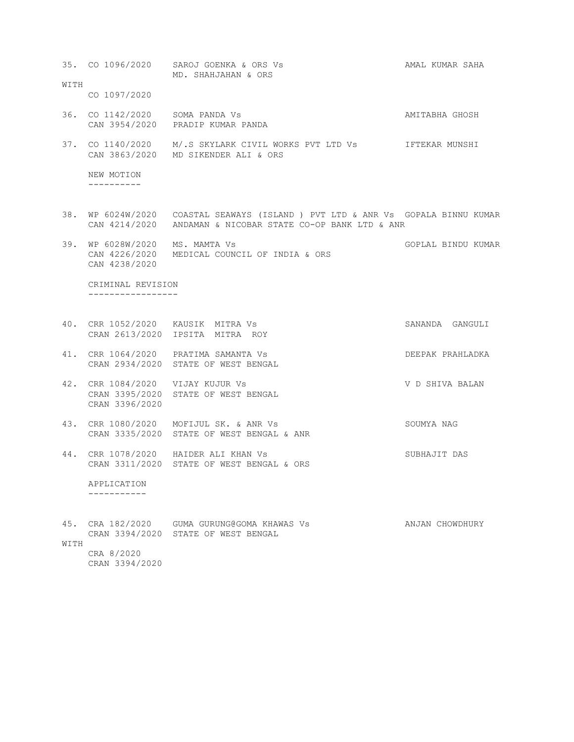|             |                                                    | 35. CO 1096/2020 SAROJ GOENKA & ORS Vs<br>MD. SHAHJAHAN & ORS                                                                                 | AMAL KUMAR SAHA    |  |
|-------------|----------------------------------------------------|-----------------------------------------------------------------------------------------------------------------------------------------------|--------------------|--|
| WITH        | CO 1097/2020                                       |                                                                                                                                               |                    |  |
|             | 36. CO 1142/2020 SOMA PANDA Vs                     | CAN 3954/2020 PRADIP KUMAR PANDA                                                                                                              | AMITABHA GHOSH     |  |
|             |                                                    | 37. CO 1140/2020 M/.S SKYLARK CIVIL WORKS PVT LTD Vs<br>CAN 3863/2020 MD SIKENDER ALI & ORS                                                   | IFTEKAR MUNSHI     |  |
|             | NEW MOTION<br>----------                           |                                                                                                                                               |                    |  |
|             |                                                    | 38. WP 6024W/2020 COASTAL SEAWAYS (ISLAND ) PVT LTD & ANR Vs GOPALA BINNU KUMAR<br>CAN 4214/2020 ANDAMAN & NICOBAR STATE CO-OP BANK LTD & ANR |                    |  |
|             | 39. WP 6028W/2020 MS. MAMTA Vs<br>CAN 4238/2020    | CAN 4226/2020 MEDICAL COUNCIL OF INDIA & ORS                                                                                                  | GOPLAL BINDU KUMAR |  |
|             | CRIMINAL REVISION<br>------------------            |                                                                                                                                               |                    |  |
|             |                                                    | 40. CRR 1052/2020 KAUSIK MITRA Vs<br>CRAN 2613/2020 IPSITA MITRA ROY                                                                          | SANANDA GANGULI    |  |
|             |                                                    | 41. CRR 1064/2020 PRATIMA SAMANTA Vs<br>CRAN 2934/2020 STATE OF WEST BENGAL                                                                   | DEEPAK PRAHLADKA   |  |
|             | 42. CRR 1084/2020 VIJAY KUJUR Vs<br>CRAN 3396/2020 | CRAN 3395/2020 STATE OF WEST BENGAL                                                                                                           | V D SHIVA BALAN    |  |
|             |                                                    | 43. CRR 1080/2020 MOFIJUL SK. & ANR Vs<br>CRAN 3335/2020 STATE OF WEST BENGAL & ANR                                                           | SOUMYA NAG         |  |
|             |                                                    | 44. CRR 1078/2020 HAIDER ALI KHAN Vs<br>CRAN 3311/2020 STATE OF WEST BENGAL & ORS                                                             | SUBHAJIT DAS       |  |
|             | APPLICATION                                        |                                                                                                                                               |                    |  |
| 45.<br>WITH |                                                    | CRA 182/2020 GUMA GURUNG@GOMA KHAWAS Vs<br>CRAN 3394/2020 STATE OF WEST BENGAL                                                                | ANJAN CHOWDHURY    |  |
|             | CRA 8/2020                                         |                                                                                                                                               |                    |  |

CRAN 3394/2020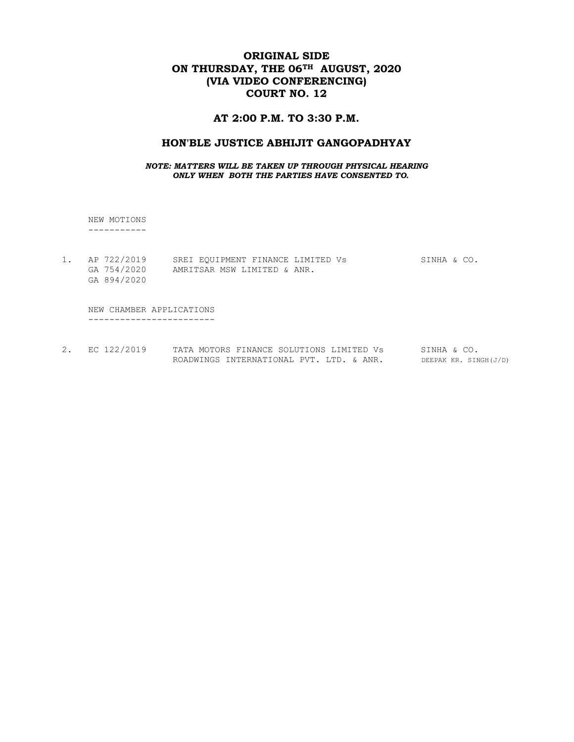# ORIGINAL SIDE ON THURSDAY, THE 06<sup>TH</sup> AUGUST, 2020 (VIA VIDEO CONFERENCING) COURT NO. 12

## AT 2:00 P.M. TO 3:30 P.M.

#### HON'BLE JUSTICE ABHIJIT GANGOPADHYAY

#### NOTE: MATTERS WILL BE TAKEN UP THROUGH PHYSICAL HEARING ONLY WHEN BOTH THE PARTIES HAVE CONSENTED TO.

 NEW MOTIONS -----------

1. AP 722/2019 SREI EQUIPMENT FINANCE LIMITED Vs SINHA & CO. GA 754/2020 AMRITSAR MSW LIMITED & ANR. GA 894/2020

 NEW CHAMBER APPLICATIONS ------------------------

2. EC 122/2019 TATA MOTORS FINANCE SOLUTIONS LIMITED Vs SINHA & CO. ROADWINGS INTERNATIONAL PVT. LTD. & ANR. DEEPAK KR. SINGH(J/D)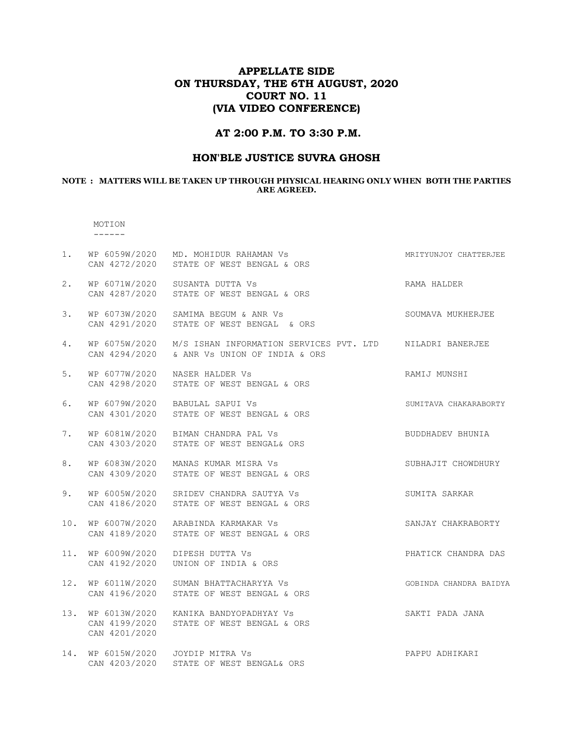# APPELLATE SIDE ON THURSDAY, THE 6TH AUGUST, 2020 COURT NO. 11 (VIA VIDEO CONFERENCE)

## AT 2:00 P.M. TO 3:30 P.M.

## HON'BLE JUSTICE SUVRA GHOSH

#### NOTE : MATTERS WILL BE TAKEN UP THROUGH PHYSICAL HEARING ONLY WHEN BOTH THE PARTIES ARE AGREED.

#### MOTION ------

| 1.  |                                | WP 6059W/2020 MD. MOHIDUR RAHAMAN Vs<br>CAN 4272/2020 STATE OF WEST BENGAL & ORS                                      | MRITYUNJOY CHATTERJEE  |
|-----|--------------------------------|-----------------------------------------------------------------------------------------------------------------------|------------------------|
| 2.  | WP 6071W/2020<br>CAN 4287/2020 | SUSANTA DUTTA Vs<br>STATE OF WEST BENGAL & ORS                                                                        | RAMA HALDER            |
| 3.  |                                | WP 6073W/2020 SAMIMA BEGUM & ANR Vs<br>CAN 4291/2020 STATE OF WEST BENGAL & ORS                                       | SOUMAVA MUKHERJEE      |
| 4.  |                                | WP 6075W/2020 M/S ISHAN INFORMATION SERVICES PVT. LTD MILADRI BANERJEE<br>CAN 4294/2020 & ANR Vs UNION OF INDIA & ORS |                        |
| 5.  | WP 6077W/2020<br>CAN 4298/2020 | NASER HALDER VS<br>STATE OF WEST BENGAL & ORS                                                                         | RAMIJ MUNSHI           |
| 6.  |                                | WP 6079W/2020 BABULAL SAPUI Vs<br>CAN 4301/2020 STATE OF WEST BENGAL & ORS                                            | SUMITAVA CHAKARABORTY  |
| 7.  |                                | WP 6081W/2020 BIMAN CHANDRA PAL Vs<br>CAN 4303/2020 STATE OF WEST BENGAL& ORS                                         | BUDDHADEV BHUNIA       |
| 8.  | WP 6083W/2020                  | MANAS KUMAR MISRA Vs<br>CAN 4309/2020 STATE OF WEST BENGAL & ORS                                                      | SUBHAJIT CHOWDHURY     |
| 9.  |                                | WP 6005W/2020 SRIDEV CHANDRA SAUTYA Vs<br>CAN 4186/2020 STATE OF WEST BENGAL & ORS                                    | SUMITA SARKAR          |
| 10. |                                | WP 6007W/2020 ARABINDA KARMAKAR Vs<br>CAN 4189/2020 STATE OF WEST BENGAL & ORS                                        | SANJAY CHAKRABORTY     |
| 11. | WP 6009W/2020<br>CAN 4192/2020 | DIPESH DUTTA Vs<br>UNION OF INDIA & ORS                                                                               | PHATICK CHANDRA DAS    |
| 12. |                                | WP 6011W/2020 SUMAN BHATTACHARYYA Vs<br>CAN 4196/2020 STATE OF WEST BENGAL & ORS                                      | GOBINDA CHANDRA BAIDYA |
| 13. | CAN 4201/2020                  | WP 6013W/2020 KANIKA BANDYOPADHYAY Vs<br>CAN 4199/2020 STATE OF WEST BENGAL & ORS                                     | SAKTI PADA JANA        |
| 14. | CAN 4203/2020                  | WP 6015W/2020 JOYDIP MITRA Vs<br>STATE OF WEST BENGAL& ORS                                                            | PAPPU ADHIKARI         |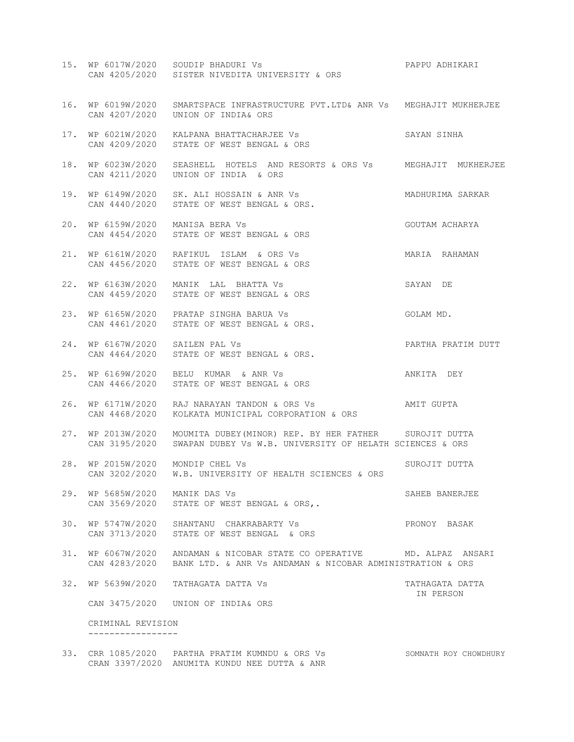|     |                                               | 15. WP 6017W/2020 SOUDIP BHADURI Vs<br>CAN 4205/2020 SISTER NIVEDITA UNIVERSITY & ORS                                             | PAPPU ADHIKARI               |
|-----|-----------------------------------------------|-----------------------------------------------------------------------------------------------------------------------------------|------------------------------|
|     |                                               | 16. WP 6019W/2020 SMARTSPACE INFRASTRUCTURE PVT.LTD& ANR Vs MEGHAJIT MUKHERJEE<br>CAN 4207/2020 UNION OF INDIA& ORS               |                              |
|     |                                               | 17. WP 6021W/2020 KALPANA BHATTACHARJEE Vs<br>CAN 4209/2020 STATE OF WEST BENGAL & ORS                                            | SAYAN SINHA                  |
| 18. | WP 6023W/2020                                 | SEASHELL HOTELS AND RESORTS & ORS Vs MEGHAJIT MUKHERJEE<br>CAN 4211/2020 UNION OF INDIA & ORS                                     |                              |
| 19. |                                               | WP 6149W/2020 SK. ALI HOSSAIN & ANR Vs<br>CAN 4440/2020 – STATE OF WEST BENGAL & OBS<br>CAN 4440/2020 STATE OF WEST BENGAL & ORS. | MADHURIMA SARKAR             |
|     | 20. WP 6159W/2020 MANISA BERA Vs              | CAN 4454/2020 STATE OF WEST BENGAL & ORS                                                                                          | GOUTAM ACHARYA               |
| 21. |                                               | WP 6161W/2020 RAFIKUL ISLAM & ORS Vs<br>CAN 4456/2020 STATE OF WEST BENGAL & ORS                                                  | MARIA RAHAMAN                |
| 22. |                                               | WP 6163W/2020 MANIK LAL BHATTA Vs<br>CAN 4459/2020 STATE OF WEST BENGAL & ORS                                                     | SAYAN DE                     |
|     |                                               | 23. WP 6165W/2020 PRATAP SINGHA BARUA Vs<br>CAN 4461/2020 STATE OF WEST BENGAL & ORS.                                             | GOLAM MD.                    |
| 24. | WP 6167W/2020 SAILEN PAL Vs                   | CAN 4464/2020 STATE OF WEST BENGAL & ORS.                                                                                         | PARTHA PRATIM DUTT           |
| 25. |                                               | WP 6169W/2020 BELU KUMAR & ANR Vs<br>CAN 4466/2020 STATE OF WEST BENGAL & ORS                                                     | ANKITA DEY                   |
| 26. | CAN 4468/2020                                 | WP 6171W/2020 RAJ NARAYAN TANDON & ORS Vs<br>KOLKATA MUNICIPAL CORPORATION & ORS                                                  | AMIT GUPTA                   |
| 27. | WP 2013W/2020                                 | MOUMITA DUBEY (MINOR) REP. BY HER FATHER SUROJIT DUTTA<br>CAN 3195/2020 SWAPAN DUBEY Vs W.B. UNIVERSITY OF HELATH SCIENCES & ORS  |                              |
| 28. | WP 2015W/2020 MONDIP CHEL Vs<br>CAN 3202/2020 | W.B. UNIVERSITY OF HEALTH SCIENCES & ORS                                                                                          | SUROJIT DUTTA                |
|     | 29. WP 5685W/2020 MANIK DAS Vs                | CAN 3569/2020 STATE OF WEST BENGAL & ORS,.                                                                                        | SAHEB BANERJEE               |
|     |                                               | 30. WP 5747W/2020 SHANTANU CHAKRABARTY Vs<br>CAN 3713/2020 STATE OF WEST BENGAL & ORS                                             | PRONOY BASAK                 |
| 31. | WP 6067W/2020<br>CAN 4283/2020                | ANDAMAN & NICOBAR STATE CO OPERATIVE MD. ALPAZ ANSARI<br>BANK LTD. & ANR Vs ANDAMAN & NICOBAR ADMINISTRATION & ORS                |                              |
| 32. | WP 5639W/2020                                 | TATHAGATA DATTA VS                                                                                                                | TATHAGATA DATTA<br>IN PERSON |
|     |                                               | CAN 3475/2020 UNION OF INDIA& ORS                                                                                                 |                              |
|     | CRIMINAL REVISION                             |                                                                                                                                   |                              |

33. CRR 1085/2020 PARTHA PRATIM KUMNDU & ORS Vs SOMNATH ROY CHOWDHURY CRAN 3397/2020 ANUMITA KUNDU NEE DUTTA & ANR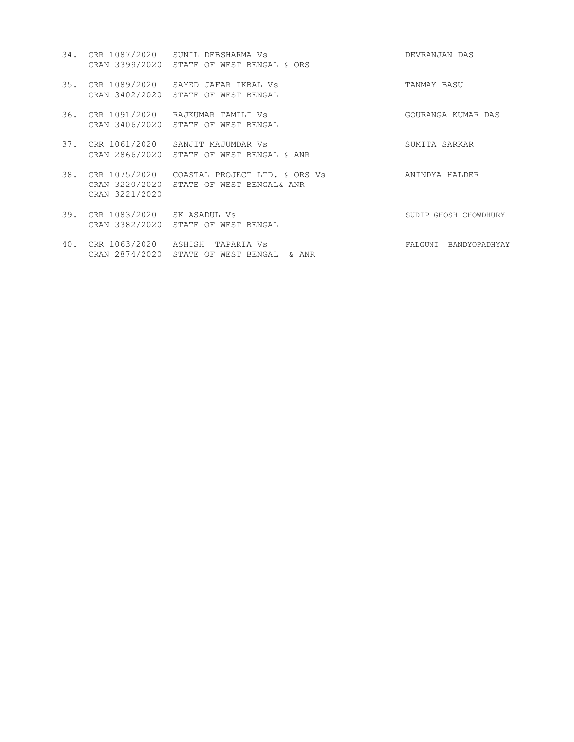| 34. |                            | CRR 1087/2020 SUNIL DEBSHARMA Vs<br>CRAN 3399/2020 STATE OF WEST BENGAL & ORS             | DEVRANJAN DAS         |
|-----|----------------------------|-------------------------------------------------------------------------------------------|-----------------------|
| 35. |                            | CRR 1089/2020 SAYED JAFAR IKBAL Vs<br>CRAN 3402/2020 STATE OF WEST BENGAL                 | TANMAY BASU           |
| 36. |                            | CRR 1091/2020   RAJKUMAR TAMILI Vs<br>CRAN 3406/2020 STATE OF WEST BENGAL                 | GOURANGA KUMAR DAS    |
| 37. |                            | CRR 1061/2020 SANJIT MAJUMDAR Vs<br>CRAN 2866/2020 STATE OF WEST BENGAL & ANR             | SUMITA SARKAR         |
| 38. | CRAN 3221/2020             | CRR 1075/2020 - COASTAL PROJECT LTD. & ORS Vs<br>CRAN 3220/2020 STATE OF WEST BENGAL& ANR | ANINDYA HALDER        |
| 39. | CRR 1083/2020 SK ASADUL Vs | CRAN 3382/2020 STATE OF WEST BENGAL                                                       | SUDIP GHOSH CHOWDHURY |
|     |                            | 40. CRR 1063/2020 ASHISH TAPARIA Vs                                                       | FALGUNI BANDYOPADHYAY |

CRAN 2874/2020 STATE OF WEST BENGAL & ANR